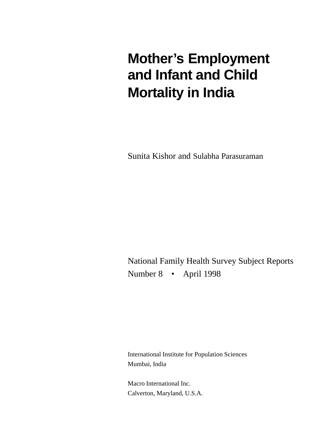# **Mother's Employment and Infant and Child Mortality in India**

Sunita Kishor and Sulabha Parasuraman

National Family Health Survey Subject Reports Number 8 • April 1998

International Institute for Population Sciences Mumbai, India

Macro International Inc. Calverton, Maryland, U.S.A.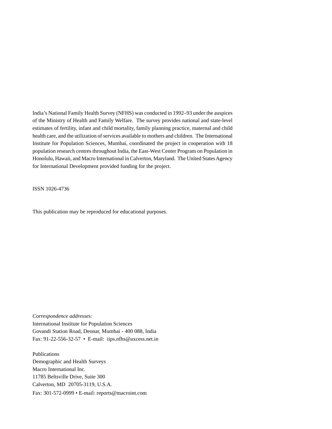India's National Family Health Survey (NFHS) was conducted in 1992–93 under the auspices of the Ministry of Health and Family Welfare. The survey provides national and state-level estimates of fertility, infant and child mortality, family planning practice, maternal and child health care, and the utilization of services available to mothers and children. The International Institute for Population Sciences, Mumbai, coordinated the project in cooperation with 18 population research centres throughout India, the East-West Center Program on Population in Honolulu, Hawaii, and Macro International in Calverton, Maryland. The United States Agency for International Development provided funding for the project.

ISSN 1026-4736

This publication may be reproduced for educational purposes.

*Correspondence addresses:* International Institute for Population Sciences Govandi Station Road, Deonar, Mumbai - 400 088, India Fax: 91-22-556-32-57 • E-mail: iips.nfhs@axcess.net.in

Publications Demographic and Health Surveys Macro International Inc. 11785 Beltsville Drive, Suite 300 Calverton, MD 20705-3119, U.S.A. Fax: 301-572-0999 • E-mail: reports@macroint.com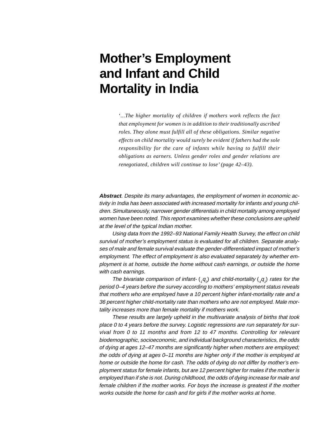## **Mother's Employment and Infant and Child Mortality in India**

'*...The higher mortality of children if mothers work reflects the fact that employment for women is in addition to their traditionally ascribed roles. They alone must fulfill all of these obligations. Similar negative effects on child mortality would surely be evident if fathers had the sole responsibility for the care of infants while having to fulfill their obligations as earners. Unless gender roles and gender relations are renegotiated, children will continue to lose' (page 42–43).*

**Abstract**. Despite its many advantages, the employment of women in economic activity in India has been associated with increased mortality for infants and young children. Simultaneously, narrower gender differentials in child mortality among employed women have been noted. This report examines whether these conclusions are upheld at the level of the typical Indian mother.

Using data from the 1992–93 National Family Health Survey, the effect on child survival of mother's employment status is evaluated for all children. Separate analyses of male and female survival evaluate the gender-differentiated impact of mother's employment. The effect of employment is also evaluated separately by whether employment is at home, outside the home without cash earnings, or outside the home with cash earnings.

The bivariate comparison of infant- $(q_q)$  and child-mortality  $(q_q)$  rates for the period 0–4 years before the survey according to mothers' employment status reveals that mothers who are employed have a 10 percent higher infant-mortality rate and a 36 percent higher child-mortality rate than mothers who are not employed. Male mortality increases more than female mortality if mothers work.

These results are largely upheld in the multivariate analysis of births that took place 0 to 4 years before the survey. Logistic regressions are run separately for survival from 0 to 11 months and from 12 to 47 months. Controlling for relevant biodemographic, socioeconomic, and individual background characteristics, the odds of dying at ages 12–47 months are significantly higher when mothers are employed; the odds of dying at ages 0–11 months are higher only if the mother is employed at home or outside the home for cash. The odds of dying do not differ by mother's employment status for female infants, but are 12 percent higher for males if the mother is employed than if she is not. During childhood, the odds of dying increase for male and female children if the mother works. For boys the increase is greatest if the mother works outside the home for cash and for girls if the mother works at home.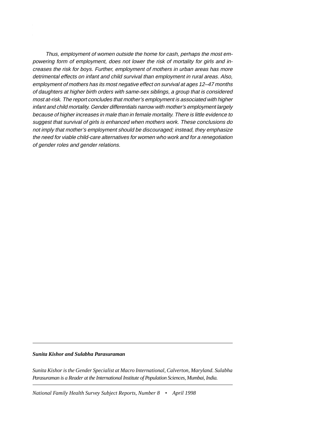Thus, employment of women outside the home for cash, perhaps the most empowering form of employment, does not lower the risk of mortality for girls and increases the risk for boys. Further, employment of mothers in urban areas has more detrimental effects on infant and child survival than employment in rural areas. Also, employment of mothers has its most negative effect on survival at ages 12–47 months of daughters at higher birth orders with same-sex siblings, a group that is considered most at-risk. The report concludes that mother's employment is associated with higher infant and child mortality. Gender differentials narrow with mother's employment largely because of higher increases in male than in female mortality. There is little evidence to suggest that survival of girls is enhanced when mothers work. These conclusions do not imply that mother's employment should be discouraged; instead, they emphasize the need for viable child-care alternatives for women who work and for a renegotiation of gender roles and gender relations.

*Sunita Kishor and Sulabha Parasuraman*

*Sunita Kishor is the Gender Specialist at Macro International, Calverton, Maryland. Sulabha Parasuraman is a Reader at the International Institute of Population Sciences, Mumbai, India.*

*National Family Health Survey Subject Reports, Number 8* • *April 1998*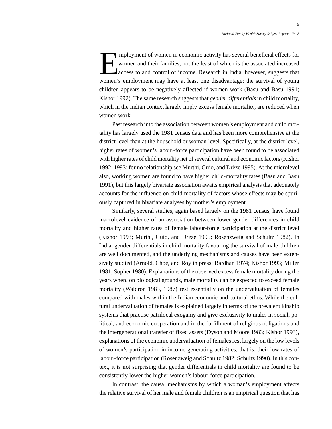Imployment of women in economic activity has several beneficial effects for<br>women and their families, not the least of which is the associated increased<br>access to and control of income. Research in India, however, suggests women and their families, not the least of which is the associated increased access to and control of income. Research in India, however, suggests that women's employment may have at least one disadvantage: the survival of young children appears to be negatively affected if women work (Basu and Basu 1991; Kishor 1992). The same research suggests that *gender differentials* in child mortality, which in the Indian context largely imply excess female mortality, are reduced when women work.

Past research into the association between women's employment and child mortality has largely used the 1981 census data and has been more comprehensive at the district level than at the household or woman level. Specifically, at the district level, higher rates of women's labour-force participation have been found to be associated with higher rates of child mortality net of several cultural and economic factors (Kishor 1992, 1993; for no relationship see Murthi, Guio, and Drèze 1995). At the microlevel also, working women are found to have higher child-mortality rates (Basu and Basu 1991), but this largely bivariate association awaits empirical analysis that adequately accounts for the influence on child mortality of factors whose effects may be spuriously captured in bivariate analyses by mother's employment.

Similarly, several studies, again based largely on the 1981 census, have found macrolevel evidence of an association between lower gender differences in child mortality and higher rates of female labour-force participation at the district level (Kishor 1993; Murthi, Guio, and Drèze 1995; Rosenzweig and Schultz 1982). In India, gender differentials in child mortality favouring the survival of male children are well documented, and the underlying mechanisms and causes have been extensively studied (Arnold, Choe, and Roy in press; Bardhan 1974; Kishor 1993; Miller 1981; Sopher 1980). Explanations of the observed excess female mortality during the years when, on biological grounds, male mortality can be expected to exceed female mortality (Waldron 1983, 1987) rest essentially on the undervaluation of females compared with males within the Indian economic and cultural ethos. While the cultural undervaluation of females is explained largely in terms of the prevalent kinship systems that practise patrilocal exogamy and give exclusivity to males in social, political, and economic cooperation and in the fulfillment of religious obligations and the intergenerational transfer of fixed assets (Dyson and Moore 1983; Kishor 1993), explanations of the economic undervaluation of females rest largely on the low levels of women's participation in income-generating activities, that is, their low rates of labour-force participation (Rosenzweig and Schultz 1982; Schultz 1990). In this context, it is not surprising that gender differentials in child mortality are found to be consistently lower the higher women's labour-force participation.

In contrast, the causal mechanisms by which a woman's employment affects the relative survival of her male and female children is an empirical question that has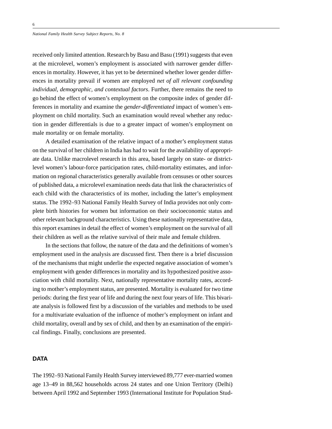#### *National Family Health Survey Subject Reports, No. 8*

received only limited attention. Research by Basu and Basu (1991) suggests that even at the microlevel, women's employment is associated with narrower gender differences in mortality. However, it has yet to be determined whether lower gender differences in mortality prevail if women are employed *net of all relevant confounding individual, demographic, and contextual factors*. Further, there remains the need to go behind the effect of women's employment on the composite index of gender differences in mortality and examine the *gender-differentiated* impact of women's employment on child mortality. Such an examination would reveal whether any reduction in gender differentials is due to a greater impact of women's employment on male mortality or on female mortality.

A detailed examination of the relative impact of a mother's employment status on the survival of her children in India has had to wait for the availability of appropriate data. Unlike macrolevel research in this area, based largely on state- or districtlevel women's labour-force participation rates, child-mortality estimates, and information on regional characteristics generally available from censuses or other sources of published data, a microlevel examination needs data that link the characteristics of each child with the characteristics of its mother, including the latter's employment status. The 1992–93 National Family Health Survey of India provides not only complete birth histories for women but information on their socioeconomic status and other relevant background characteristics. Using these nationally representative data, this report examines in detail the effect of women's employment on the survival of all their children as well as the relative survival of their male and female children.

In the sections that follow, the nature of the data and the definitions of women's employment used in the analysis are discussed first. Then there is a brief discussion of the mechanisms that might underlie the expected negative association of women's employment with gender differences in mortality and its hypothesized positive association with child mortality. Next, nationally representative mortality rates, according to mother's employment status, are presented. Mortality is evaluated for two time periods: during the first year of life and during the next four years of life. This bivariate analysis is followed first by a discussion of the variables and methods to be used for a multivariate evaluation of the influence of mother's employment on infant and child mortality, overall and by sex of child, and then by an examination of the empirical findings. Finally, conclusions are presented.

## **DATA**

The 1992–93 National Family Health Survey interviewed 89,777 ever-married women age 13–49 in 88,562 households across 24 states and one Union Territory (Delhi) between April 1992 and September 1993 (International Institute for Population Stud-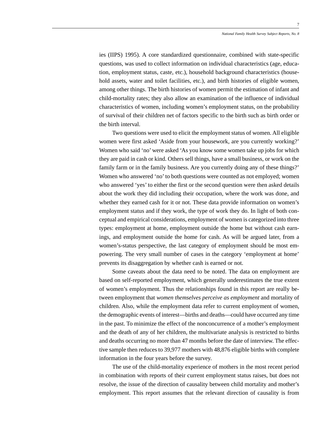ies (IIPS) 1995). A core standardized questionnaire, combined with state-specific questions, was used to collect information on individual characteristics (age, education, employment status, caste, etc.), household background characteristics (household assets, water and toilet facilities, etc.), and birth histories of eligible women, among other things. The birth histories of women permit the estimation of infant and child-mortality rates; they also allow an examination of the influence of individual characteristics of women, including women's employment status, on the probability of survival of their children net of factors specific to the birth such as birth order or the birth interval.

Two questions were used to elicit the employment status of women. All eligible women were first asked 'Aside from your housework, are you currently working?' Women who said 'no' were asked 'As you know some women take up jobs for which they are paid in cash or kind. Others sell things, have a small business, or work on the family farm or in the family business. Are you currently doing any of these things?' Women who answered 'no' to both questions were counted as not employed; women who answered 'yes' to either the first or the second question were then asked details about the work they did including their occupation, where the work was done, and whether they earned cash for it or not. These data provide information on women's employment status and if they work, the type of work they do. In light of both conceptual and empirical considerations, employment of women is categorized into three types: employment at home, employment outside the home but without cash earnings, and employment outside the home for cash. As will be argued later, from a women's-status perspective, the last category of employment should be most empowering. The very small number of cases in the category 'employment at home' prevents its disaggregation by whether cash is earned or not.

Some caveats about the data need to be noted. The data on employment are based on self-reported employment, which generally underestimates the true extent of women's employment. Thus the relationships found in this report are really between employment that *women themselves perceive as employment* and mortality of children. Also, while the employment data refer to current employment of women, the demographic events of interest—births and deaths—could have occurred any time in the past. To minimize the effect of the nonconcurrence of a mother's employment and the death of any of her children, the multivariate analysis is restricted to births and deaths occurring no more than 47 months before the date of interview. The effective sample then reduces to 39,977 mothers with 48,876 eligible births with complete information in the four years before the survey.

The use of the child-mortality experience of mothers in the most recent period in combination with reports of their current employment status raises, but does not resolve, the issue of the direction of causality between child mortality and mother's employment. This report assumes that the relevant direction of causality is from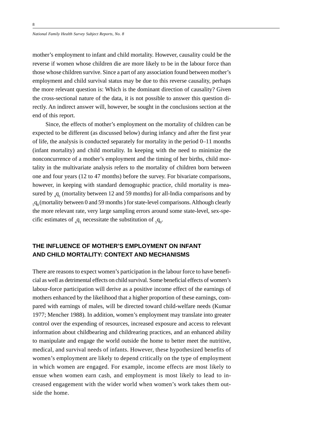mother's employment to infant and child mortality. However, causality could be the reverse if women whose children die are more likely to be in the labour force than those whose children survive. Since a part of any association found between mother's employment and child survival status may be due to this reverse causality, perhaps the more relevant question is: Which is the dominant direction of causality? Given the cross-sectional nature of the data, it is not possible to answer this question directly. An indirect answer will, however, be sought in the conclusions section at the end of this report.

Since, the effects of mother's employment on the mortality of children can be expected to be different (as discussed below) during infancy and after the first year of life, the analysis is conducted separately for mortality in the period 0–11 months (infant mortality) and child mortality. In keeping with the need to minimize the nonconcurrence of a mother's employment and the timing of her births, child mortality in the multivariate analysis refers to the mortality of children born between one and four years (12 to 47 months) before the survey. For bivariate comparisons, however, in keeping with standard demographic practice, child mortality is measured by  $_4q_1$  (mortality between 12 and 59 months) for all-India comparisons and by  $_{5}q_{0}$  (mortality between 0 and 59 months) for state-level comparisons. Although clearly the more relevant rate, very large sampling errors around some state-level, sex-specific estimates of  $_4q_1$  necessitate the substitution of  $_5q_0$ .

## **THE INFLUENCE OF MOTHER'S EMPLOYMENT ON INFANT AND CHILD MORTALITY: CONTEXT AND MECHANISMS**

There are reasons to expect women's participation in the labour force to have beneficial as well as detrimental effects on child survival. Some beneficial effects of women's labour-force participation will derive as a positive income effect of the earnings of mothers enhanced by the likelihood that a higher proportion of these earnings, compared with earnings of males, will be directed toward child-welfare needs (Kumar 1977; Mencher 1988). In addition, women's employment may translate into greater control over the expending of resources, increased exposure and access to relevant information about childbearing and childrearing practices, and an enhanced ability to manipulate and engage the world outside the home to better meet the nutritive, medical, and survival needs of infants. However, these hypothesized benefits of women's employment are likely to depend critically on the type of employment in which women are engaged. For example, income effects are most likely to ensue when women earn cash, and employment is most likely to lead to increased engagement with the wider world when women's work takes them outside the home.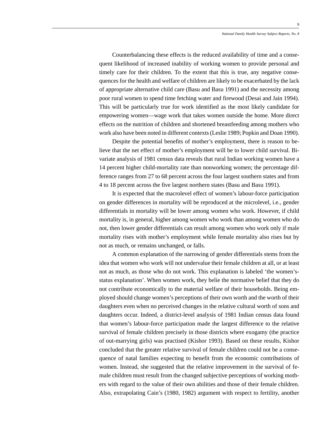Counterbalancing these effects is the reduced availability of time and a consequent likelihood of increased inability of working women to provide personal and timely care for their children. To the extent that this is true, any negative consequences for the health and welfare of children are likely to be exacerbated by the lack of appropriate alternative child care (Basu and Basu 1991) and the necessity among poor rural women to spend time fetching water and firewood (Desai and Jain 1994). This will be particularly true for work identified as the most likely candidate for empowering women—wage work that takes women outside the home. More direct effects on the nutrition of children and shortened breastfeeding among mothers who work also have been noted in different contexts (Leslie 1989; Popkin and Doan 1990).

Despite the potential benefits of mother's employment, there is reason to believe that the net effect of mother's employment will be to lower child survival. Bivariate analysis of 1981 census data reveals that rural Indian working women have a 14 percent higher child-mortality rate than nonworking women; the percentage difference ranges from 27 to 68 percent across the four largest southern states and from 4 to 18 percent across the five largest northern states (Basu and Basu 1991).

It is expected that the macrolevel effect of women's labour-force participation on gender differences in mortality will be reproduced at the microlevel, i.e., gender differentials in mortality will be lower among women who work. However, if child mortality is, in general, higher among women who work than among women who do not, then lower gender differentials can result among women who work only if male mortality rises with mother's employment while female mortality also rises but by not as much, or remains unchanged, or falls.

A common explanation of the narrowing of gender differentials stems from the idea that women who work will not undervalue their female children at all, or at least not as much, as those who do not work. This explanation is labeled 'the women'sstatus explanation'. When women work, they belie the normative belief that they do not contribute economically to the material welfare of their households. Being employed should change women's perceptions of their own worth and the worth of their daughters even when no perceived changes in the relative cultural worth of sons and daughters occur. Indeed, a district-level analysis of 1981 Indian census data found that women's labour-force participation made the largest difference to the relative survival of female children precisely in those districts where exogamy (the practice of out-marrying girls) was practised (Kishor 1993). Based on these results, Kishor concluded that the greater relative survival of female children could not be a consequence of natal families expecting to benefit from the economic contributions of women. Instead, she suggested that the relative improvement in the survival of female children must result from the changed subjective perceptions of working mothers with regard to the value of their own abilities and those of their female children. Also, extrapolating Cain's (1980, 1982) argument with respect to fertility, another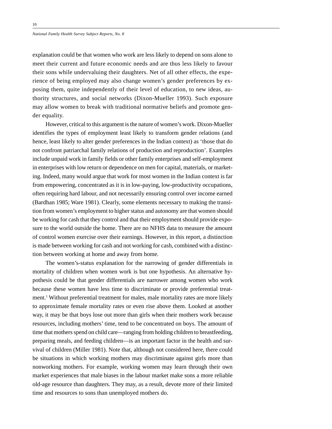explanation could be that women who work are less likely to depend on sons alone to meet their current and future economic needs and are thus less likely to favour their sons while undervaluing their daughters. Net of all other effects, the experience of being employed may also change women's gender preferences by exposing them, quite independently of their level of education, to new ideas, authority structures, and social networks (Dixon-Mueller 1993). Such exposure may allow women to break with traditional normative beliefs and promote gender equality.

However, critical to this argument is the nature of women's work. Dixon-Mueller identifies the types of employment least likely to transform gender relations (and hence, least likely to alter gender preferences in the Indian context) as 'those that do not confront patriarchal family relations of production and reproduction'. Examples include unpaid work in family fields or other family enterprises and self-employment in enterprises with low return or dependence on men for capital, materials, or marketing. Indeed, many would argue that work for most women in the Indian context is far from empowering, concentrated as it is in low-paying, low-productivity occupations, often requiring hard labour, and not necessarily ensuring control over income earned (Bardhan 1985; Ware 1981). Clearly, some elements necessary to making the transition from women's employment to higher status and autonomy are that women should be working for cash that they control and that their employment should provide exposure to the world outside the home. There are no NFHS data to measure the amount of control women exercise over their earnings. However, in this report, a distinction is made between working for cash and not working for cash, combined with a distinction between working at home and away from home.

The women's-status explanation for the narrowing of gender differentials in mortality of children when women work is but one hypothesis. An alternative hypothesis could be that gender differentials are narrower among women who work because these women have less time to discriminate or provide preferential treatment.<sup>1</sup> Without preferential treatment for males, male mortality rates are more likely to approximate female mortality rates or even rise above them. Looked at another way, it may be that boys lose out more than girls when their mothers work because resources, including mothers' time, tend to be concentrated on boys. The amount of time that mothers spend on child care—ranging from holding children to breastfeeding, preparing meals, and feeding children—is an important factor in the health and survival of children (Miller 1981). Note that, although not considered here, there could be situations in which working mothers may discriminate against girls more than nonworking mothers. For example, working women may learn through their own market experiences that male biases in the labour market make sons a more reliable old-age resource than daughters. They may, as a result, devote more of their limited time and resources to sons than unemployed mothers do.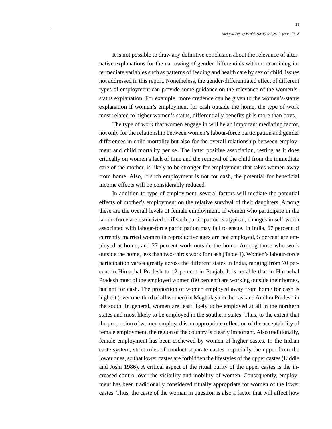It is not possible to draw any definitive conclusion about the relevance of alternative explanations for the narrowing of gender differentials without examining intermediate variables such as patterns of feeding and health care by sex of child, issues not addressed in this report. Nonetheless, the gender-differentiated effect of different types of employment can provide some guidance on the relevance of the women'sstatus explanation. For example, more credence can be given to the women's-status explanation if women's employment for cash outside the home, the type of work most related to higher women's status, differentially benefits girls more than boys.

The type of work that women engage in will be an important mediating factor, not only for the relationship between women's labour-force participation and gender differences in child mortality but also for the overall relationship between employment and child mortality per se. The latter positive association, resting as it does critically on women's lack of time and the removal of the child from the immediate care of the mother, is likely to be stronger for employment that takes women away from home. Also, if such employment is not for cash, the potential for beneficial income effects will be considerably reduced.

In addition to type of employment, several factors will mediate the potential effects of mother's employment on the relative survival of their daughters. Among these are the overall levels of female employment. If women who participate in the labour force are ostracized or if such participation is atypical, changes in self-worth associated with labour-force participation may fail to ensue. In India, 67 percent of currently married women in reproductive ages are not employed, 5 percent are employed at home, and 27 percent work outside the home. Among those who work outside the home, less than two-thirds work for cash (Table 1). Women's labour-force participation varies greatly across the different states in India, ranging from 70 percent in Himachal Pradesh to 12 percent in Punjab. It is notable that in Himachal Pradesh most of the employed women (80 percent) are working outside their homes, but not for cash. The proportion of women employed away from home for cash is highest (over one-third of all women) in Meghalaya in the east and Andhra Pradesh in the south. In general, women are least likely to be employed at all in the northern states and most likely to be employed in the southern states. Thus, to the extent that the proportion of women employed is an appropriate reflection of the acceptability of female employment, the region of the country is clearly important. Also traditionally, female employment has been eschewed by women of higher castes. In the Indian caste system, strict rules of conduct separate castes, especially the upper from the lower ones, so that lower castes are forbidden the lifestyles of the upper castes (Liddle and Joshi 1986). A critical aspect of the ritual purity of the upper castes is the increased control over the visibility and mobility of women. Consequently, employment has been traditionally considered ritually appropriate for women of the lower castes. Thus, the caste of the woman in question is also a factor that will affect how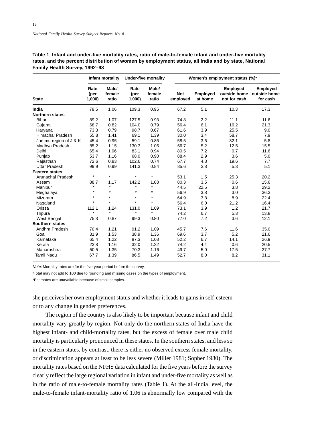|                         | Infant mortality      |                          | <b>Under-five mortality</b> |                          | Women's employment status (%) <sup>a</sup> |                            |                                 |                                                   |
|-------------------------|-----------------------|--------------------------|-----------------------------|--------------------------|--------------------------------------------|----------------------------|---------------------------------|---------------------------------------------------|
| <b>State</b>            | Rate<br>(per<br>1,000 | Male/<br>female<br>ratio | Rate<br>(per<br>1,000       | Male/<br>female<br>ratio | <b>Not</b><br>employed                     | <b>Employed</b><br>at home | <b>Employed</b><br>not for cash | Employed<br>outside home outside home<br>for cash |
| India                   | 78.5                  | 1.06                     | 109.3                       | 0.95                     | 67.2                                       | 5.1                        | 10.3                            | 17.3                                              |
| <b>Northern states</b>  |                       |                          |                             |                          |                                            |                            |                                 |                                                   |
| Bihar                   | 89.2                  | 1.07                     | 127.5                       | 0.93                     | 74.8                                       | 2.2                        | 11.1                            | 11.6                                              |
| Gujarat                 | 68.7                  | 0.82                     | 104.0                       | 0.79                     | 56.4                                       | 6.1                        | 16.2                            | 21.3                                              |
| Haryana                 | 73.3                  | 0.79                     | 98.7                        | 0.67                     | 61.6                                       | 3.9                        | 25.5                            | 9.0                                               |
| <b>Himachal Pradesh</b> | 55.8                  | 1.41                     | 69.1                        | 1.39                     | 30.0                                       | 3.4                        | 58.7                            | 7.9                                               |
| Jammu region of J & K   | 45.4                  | 0.95                     | 59.1                        | 0.86                     | 58.5                                       | 3.6                        | 32.1                            | 5.8                                               |
| Madhya Pradesh          | 85.2                  | 1.15                     | 130.3                       | 1.05                     | 66.7                                       | 5.2                        | 12.5                            | 15.5                                              |
| Delhi                   | 65.4                  | 1.06                     | 83.1                        | 0.94                     | 80.5                                       | 7.2                        | 0.7                             | 11.6                                              |
| Punjab                  | 53.7                  | 1.16                     | 68.0                        | 0.90                     | 88.4                                       | 2.9                        | 3.6                             | 5.0                                               |
| Rajasthan               | 72.6                  | 0.83                     | 102.6                       | 0.74                     | 67.7                                       | 4.8                        | 19.6                            | 7.7                                               |
| <b>Uttar Pradesh</b>    | 99.9                  | 0.99                     | 141.3                       | 0.84                     | 85.6                                       | 3.8                        | 5.3                             | 5.1                                               |
| <b>Eastern states</b>   |                       |                          |                             |                          |                                            |                            |                                 |                                                   |
| Arunachal Pradesh       | $\star$               | $\star$                  | $\star$                     | $\star$                  | 53.1                                       | 1.5                        | 25.3                            | 20.2                                              |
| Assam                   | 88.7                  | 1.17                     | 142.2                       | 1.08                     | 80.3                                       | 3.5                        | 0.6                             | 15.6                                              |
| Manipur                 | $\star$               | $\star$                  | $\star$                     | $\star$                  | 44.5                                       | 22.5                       | 3.8                             | 29.2                                              |
| Meghalaya               | $\star$               | $\star$                  | $\star$                     | $\star$                  | 56.9                                       | 3.8                        | 3.0                             | 36.3                                              |
| Mizoram                 | $\star$               | $\star$                  | $\star$                     | $\star$                  | 64.9                                       | 3.8                        | 8.9                             | 22.4                                              |
| Nagaland                | $\star$               | $\star$                  | $\star$                     | $\star$                  | 56.4                                       | 6.0                        | 21.2                            | 16.4                                              |
| Orissa                  | 112.1                 | 1.24                     | 131.0                       | 1.09                     | 73.1                                       | 3.9                        | 1.2                             | 21.7                                              |
| Tripura                 | $\star$               | $\star$                  | $\star$                     | $\star$                  | 74.2                                       | 6.7                        | 5.3                             | 13.8                                              |
| <b>West Bengal</b>      | 75.3                  | 0.87                     | 99.3                        | 0.80                     | 77.0                                       | 7.2                        | 3.6                             | 12.1                                              |
| <b>Southern states</b>  |                       |                          |                             |                          |                                            |                            |                                 |                                                   |
| Andhra Pradesh          | 70.4                  | 1.21                     | 91.2                        | 1.09                     | 45.7                                       | 7.6                        | 11.6                            | 35.0                                              |
| Goa                     | 31.9                  | 1.53                     | 38.9                        | 1.36                     | 69.6                                       | 3.7                        | 5.2                             | 21.6                                              |
| Karnataka               | 65.4                  | 1.22                     | 87.3                        | 1.08                     | 52.2                                       | 6.7                        | 14.1                            | 26.9                                              |
| Kerala                  | 23.8                  | 1.16                     | 32.0                        | 1.22                     | 74.2                                       | 4.4                        | 0.6                             | 20.5                                              |
| Maharashtra             | 50.5                  | 1.35                     | 70.3                        | 1.16                     | 49.7                                       | 5.0                        | 17.5                            | 27.7                                              |
| <b>Tamil Nadu</b>       | 67.7                  | 1.39                     | 86.5                        | 1.49                     | 52.7                                       | 8.0                        | 8.2                             | 31.1                                              |

**Table 1 Infant and under-five mortality rates, ratio of male-to-female infant and under-five mortality rates, and the percent distribution of women by employment status, all India and by state, National Family Health Survey, 1992–93**

Note: Mortality rates are for the five-year period before the survey.

aTotal may not add to 100 due to rounding and missing cases on the types of employment.

\*Estimates are unavailable because of small samples.

she perceives her own employment status and whether it leads to gains in self-esteem or to any change in gender preferences.

The region of the country is also likely to be important because infant and child mortality vary greatly by region. Not only do the northern states of India have the highest infant- and child-mortality rates, but the excess of female over male child mortality is particularly pronounced in these states. In the southern states, and less so in the eastern states, by contrast, there is either no observed excess female mortality, or discrimination appears at least to be less severe (Miller 1981; Sopher 1980). The mortality rates based on the NFHS data calculated for the five years before the survey clearly reflect the large regional variation in infant and under-five mortality as well as in the ratio of male-to-female mortality rates (Table 1). At the all-India level, the male-to-female infant-mortality ratio of 1.06 is abnormally low compared with the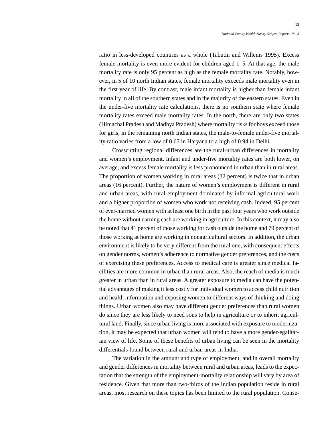ratio in less-developed countries as a whole (Tabutin and Willems 1995). Excess female mortality is even more evident for children aged 1–5. At that age, the male mortality rate is only 95 percent as high as the female mortality rate. Notably, however, in 5 of 10 north Indian states, female mortality exceeds male mortality even in the first year of life. By contrast, male infant mortality is higher than female infant mortality in all of the southern states and in the majority of the eastern states. Even in the under-five mortality rate calculations, there is no southern state where female mortality rates exceed male mortality rates. In the north, there are only two states (Himachal Pradesh and Madhya Pradesh) where mortality risks for boys exceed those for girls; in the remaining north Indian states, the male-to-female under-five mortality ratio varies from a low of 0.67 in Haryana to a high of 0.94 in Delhi.

Crosscutting regional differences are the rural-urban differences in mortality and women's employment. Infant and under-five mortality rates are both lower, on average, and excess female mortality is less pronounced in urban than in rural areas. The proportion of women working in rural areas (32 percent) is twice that in urban areas (16 percent). Further, the nature of women's employment is different in rural and urban areas, with rural employment dominated by informal agricultural work and a higher proportion of women who work not receiving cash. Indeed, 95 percent of ever-married women with at least one birth in the past four years who work outside the home without earning cash are working in agriculture. In this context, it may also be noted that 41 percent of those working for cash outside the home and 79 percent of those working at home are working in nonagricultural sectors. In addition, the urban environment is likely to be very different from the rural one, with consequent effects on gender norms, women's adherence to normative gender preferences, and the costs of exercising these preferences. Access to medical care is greater since medical facilities are more common in urban than rural areas. Also, the reach of media is much greater in urban than in rural areas. A greater exposure to media can have the potential advantages of making it less costly for individual women to access child nutrition and health information and exposing women to different ways of thinking and doing things. Urban women also may have different gender preferences than rural women do since they are less likely to need sons to help in agriculture or to inherit agricultural land. Finally, since urban living is more associated with exposure to modernization, it may be expected that urban women will tend to have a more gender-egalitarian view of life. Some of these benefits of urban living can be seen in the mortality differentials found between rural and urban areas in India.

The variation in the amount and type of employment, and in overall mortality and gender differences in mortality between rural and urban areas, leads to the expectation that the strength of the employment-mortality relationship will vary by area of residence. Given that more than two-thirds of the Indian population reside in rural areas, most research on these topics has been limited to the rural population. Conse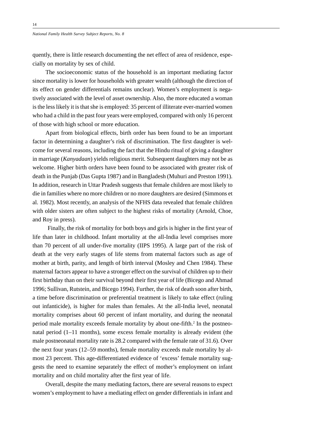quently, there is little research documenting the net effect of area of residence, especially on mortality by sex of child.

The socioeconomic status of the household is an important mediating factor since mortality is lower for households with greater wealth (although the direction of its effect on gender differentials remains unclear). Women's employment is negatively associated with the level of asset ownership. Also, the more educated a woman is the less likely it is that she is employed: 35 percent of illiterate ever-married women who had a child in the past four years were employed, compared with only 16 percent of those with high school or more education.

Apart from biological effects, birth order has been found to be an important factor in determining a daughter's risk of discrimination. The first daughter is welcome for several reasons, including the fact that the Hindu ritual of giving a daughter in marriage (*Kanyadaan*) yields religious merit. Subsequent daughters may not be as welcome. Higher birth orders have been found to be associated with greater risk of death in the Punjab (Das Gupta 1987) and in Bangladesh (Muhuri and Preston 1991). In addition, research in Uttar Pradesh suggests that female children are most likely to die in families where no more children or no more daughters are desired (Simmons et al. 1982). Most recently, an analysis of the NFHS data revealed that female children with older sisters are often subject to the highest risks of mortality (Arnold, Choe, and Roy in press).

Finally, the risk of mortality for both boys and girls is higher in the first year of life than later in childhood. Infant mortality at the all-India level comprises more than 70 percent of all under-five mortality (IIPS 1995). A large part of the risk of death at the very early stages of life stems from maternal factors such as age of mother at birth, parity, and length of birth interval (Mosley and Chen 1984). These maternal factors appear to have a stronger effect on the survival of children up to their first birthday than on their survival beyond their first year of life (Bicego and Ahmad 1996; Sullivan, Rutstein, and Bicego 1994). Further, the risk of death soon after birth, a time before discrimination or preferential treatment is likely to take effect (ruling out infanticide), is higher for males than females. At the all-India level, neonatal mortality comprises about 60 percent of infant mortality, and during the neonatal period male mortality exceeds female mortality by about one-fifth.<sup>2</sup> In the postneonatal period (1–11 months), some excess female mortality is already evident (the male postneonatal mortality rate is 28.2 compared with the female rate of 31.6). Over the next four years (12–59 months), female mortality exceeds male mortality by almost 23 percent. This age-differentiated evidence of 'excess' female mortality suggests the need to examine separately the effect of mother's employment on infant mortality and on child mortality after the first year of life.

Overall, despite the many mediating factors, there are several reasons to expect women's employment to have a mediating effect on gender differentials in infant and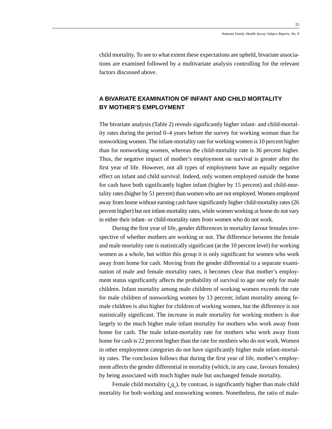child mortality. To see to what extent these expectations are upheld, bivariate associations are examined followed by a multivariate analysis controlling for the relevant factors discussed above.

## **A BIVARIATE EXAMINATION OF INFANT AND CHILD MORTALITY BY MOTHER'S EMPLOYMENT**

The bivariate analysis (Table 2) reveals significantly higher infant- and child-mortality rates during the period 0–4 years before the survey for working woman than for nonworking women. The infant-mortality rate for working women is 10 percent higher than for nonworking women, whereas the child-mortality rate is 36 percent higher. Thus, the negative impact of mother's employment on survival is greater after the first year of life. However, not all types of employment have an equally negative effect on infant and child survival. Indeed, only women employed outside the home for cash have both significantly higher infant (higher by 15 percent) and child-mortality rates (higher by 51 percent) than women who are not employed. Women employed away from home without earning cash have significantly higher child-mortality rates (26 percent higher) but not infant-mortality rates, while women working at home do not vary in either their infant- or child-mortality rates from women who do not work.

During the first year of life, gender differences in mortality favour females irrespective of whether mothers are working or not. The difference between the female and male mortality rate is statistically significant (at the 10 percent level) for working women as a whole, but within this group it is only significant for women who work away from home for cash. Moving from the gender differential to a separate examination of male and female mortality rates, it becomes clear that mother's employment status significantly affects the probability of survival to age one only for male children. Infant mortality among male children of working women exceeds the rate for male children of nonworking women by 13 percent; infant mortality among female children is also higher for children of working women, but the difference is not statistically significant. The increase in male mortality for working mothers is due largely to the much higher male infant mortality for mothers who work away from home for cash. The male infant-mortality rate for mothers who work away from home for cash is 22 percent higher than the rate for mothers who do not work. Women in other employment categories do not have significantly higher male infant-mortality rates. The conclusion follows that during the first year of life, mother's employment affects the gender differential in mortality (which, in any case, favours females) by being associated with much higher male but unchanged female mortality.

Female child mortality  $(q_1)$ , by contrast, is significantly higher than male child mortality for both working and nonworking women. Nonetheless, the ratio of male-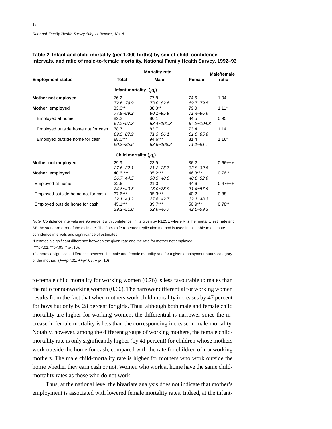|                                    |                             | <b>Mortality rate</b>       |                            | <b>Male/female</b> |
|------------------------------------|-----------------------------|-----------------------------|----------------------------|--------------------|
| <b>Employment status</b>           | <b>Total</b>                | <b>Male</b>                 | Female                     | ratio              |
|                                    | Infant mortality $(0, q_0)$ |                             |                            |                    |
| Mother not employed                | 76.2<br>$72.6 - 79.9$       | 77.8<br>$73.0 - 82.6$       | 74.6<br>69.7~79.5          | 1.04               |
| Mother employed                    | 83.6**<br>77.9~89.2         | 88.0**<br>$80.1 - 95.9$     | 79.0<br>$71.4 - 86.6$      | $1.11+$            |
| Employed at home                   | 82.2<br>$67.2 - 97.3$       | 80.1<br>$58.4 - 101.8$      | 84.5<br>$64.2 - 104.8$     | 0.95               |
| Employed outside home not for cash | 78.7<br>$69.5 - 87.9$       | 83.7<br>$71.3 - 96.1$       | 73.4<br>$61.0 - 85.8$      | 1.14               |
| Employed outside home for cash     | 88.0***<br>$80.2 - 95.8$    | $94.6***$<br>$82.8 - 106.3$ | 81.4<br>$71.1 - 91.7$      | $1.16+$            |
|                                    | Child mortality $(q_1)$     |                             |                            |                    |
| Mother not employed                | 29.9<br>$27.6 - 32.1$       | 23.9<br>$21.2 - 26.7$       | 36.2<br>$32.8 - 39.5$      | $0.66++$           |
| Mother employed                    | 40.6 ***<br>$36.7 - 44.5$   | $35.2***$<br>$30.5 - 40.0$  | $46.3***$<br>$40.6 - 52.0$ | $0.76***$          |
| Employed at home                   | 32.6<br>$24.8 - 40.3$       | 21.0<br>$13.0 - 28.9$       | 44.6<br>$31.4 - 57.9$      | $0.47++$           |
| Employed outside home not for cash | $37.6***$<br>$32.1 - 43.2$  | $35.3***$<br>$27.8 - 42.7$  | 40.2<br>$32.1 - 48.3$      | 0.88               |
| Employed outside home for cash     | 45.1***<br>$39.2 - 51.0$    | $39.7***$<br>$32.6 - 46.7$  | $50.9***$<br>$42.5 - 59.3$ | $0.78^{++}$        |

## **Table 2 Infant and child mortality (per 1,000 births) by sex of child, confidence intervals, and ratio of male-to-female mortality, National Family Health Survey, 1992–93**

Note: Confidence intervals are 95 percent with confidence limits given by R±2SE where R is the mortality estimate and SE the standard error of the estimate. The Jackknife repeated replication method is used in this table to estimate confidence intervals and significance of estimates.

\*Denotes a significant difference between the given rate and the rate for mother not employed.

(\*\*\*p<.01; \*\*p<.05; \* p<.10).

+Denotes a significant difference between the male and female mortality rate for a given employment-status category. of the mother.  $(+++p<.01; ++p<.05; +p<.10)$ 

to-female child mortality for working women (0.76) is less favourable to males than the ratio for nonworking women (0.66). The narrower differential for working women results from the fact that when mothers work child mortality increases by 47 percent for boys but only by 28 percent for girls. Thus, although both male and female child mortality are higher for working women, the differential is narrower since the increase in female mortality is less than the corresponding increase in male mortality. Notably, however, among the different groups of working mothers, the female childmortality rate is only significantly higher (by 41 percent) for children whose mothers work outside the home for cash, compared with the rate for children of nonworking mothers. The male child-mortality rate is higher for mothers who work outside the home whether they earn cash or not. Women who work at home have the same childmortality rates as those who do not work.

Thus, at the national level the bivariate analysis does not indicate that mother's employment is associated with lowered female mortality rates. Indeed, at the infant-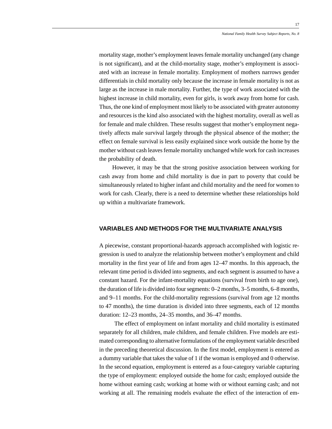mortality stage, mother's employment leaves female mortality unchanged (any change is not significant), and at the child-mortality stage, mother's employment is associated with an increase in female mortality. Employment of mothers narrows gender differentials in child mortality only because the increase in female mortality is not as large as the increase in male mortality. Further, the type of work associated with the highest increase in child mortality, even for girls, is work away from home for cash. Thus, the one kind of employment most likely to be associated with greater autonomy and resources is the kind also associated with the highest mortality, overall as well as for female and male children. These results suggest that mother's employment negatively affects male survival largely through the physical absence of the mother; the effect on female survival is less easily explained since work outside the home by the mother without cash leaves female mortality unchanged while work for cash increases the probability of death.

However, it may be that the strong positive association between working for cash away from home and child mortality is due in part to poverty that could be simultaneously related to higher infant and child mortality and the need for women to work for cash. Clearly, there is a need to determine whether these relationships hold up within a multivariate framework.

## **VARIABLES AND METHODS FOR THE MULTIVARIATE ANALYSIS**

A piecewise, constant proportional-hazards approach accomplished with logistic regression is used to analyze the relationship between mother's employment and child mortality in the first year of life and from ages 12–47 months. In this approach, the relevant time period is divided into segments, and each segment is assumed to have a constant hazard. For the infant-mortality equations (survival from birth to age one), the duration of life is divided into four segments: 0–2 months, 3–5 months, 6–8 months, and 9–11 months. For the child-mortality regressions (survival from age 12 months to 47 months), the time duration is divided into three segments, each of 12 months duration: 12–23 months, 24–35 months, and 36–47 months.

The effect of employment on infant mortality and child mortality is estimated separately for all children, male children, and female children. Five models are estimated corresponding to alternative formulations of the employment variable described in the preceding theoretical discussion. In the first model, employment is entered as a dummy variable that takes the value of 1 if the woman is employed and 0 otherwise. In the second equation, employment is entered as a four-category variable capturing the type of employment: employed outside the home for cash; employed outside the home without earning cash; working at home with or without earning cash; and not working at all. The remaining models evaluate the effect of the interaction of em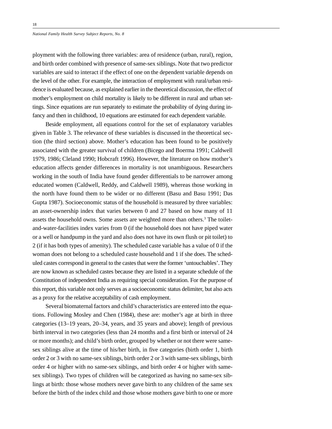ployment with the following three variables: area of residence (urban, rural), region, and birth order combined with presence of same-sex siblings. Note that two predictor variables are said to interact if the effect of one on the dependent variable depends on the level of the other. For example, the interaction of employment with rural/urban residence is evaluated because, as explained earlier in the theoretical discussion, the effect of mother's employment on child mortality is likely to be different in rural and urban settings. Since equations are run separately to estimate the probability of dying during infancy and then in childhood, 10 equations are estimated for each dependent variable.

Beside employment, all equations control for the set of explanatory variables given in Table 3. The relevance of these variables is discussed in the theoretical section (the third section) above. Mother's education has been found to be positively associated with the greater survival of children (Bicego and Boerma 1991; Caldwell 1979, 1986; Cleland 1990; Hobcraft 1996). However, the literature on how mother's education affects gender differences in mortality is not unambiguous. Researchers working in the south of India have found gender differentials to be narrower among educated women (Caldwell, Reddy, and Caldwell 1989), whereas those working in the north have found them to be wider or no different (Basu and Basu 1991; Das Gupta 1987). Socioeconomic status of the household is measured by three variables: an asset-ownership index that varies between 0 and 27 based on how many of 11 assets the household owns. Some assets are weighted more than others.<sup>3</sup> The toiletand-water-facilities index varies from 0 (if the household does not have piped water or a well or handpump in the yard and also does not have its own flush or pit toilet) to 2 (if it has both types of amenity). The scheduled caste variable has a value of 0 if the woman does not belong to a scheduled caste household and 1 if she does. The scheduled castes correspond in general to the castes that were the former 'untouchables'. They are now known as scheduled castes because they are listed in a separate schedule of the Constitution of independent India as requiring special consideration. For the purpose of this report, this variable not only serves as a socioeconomic status delimiter, but also acts as a proxy for the relative acceptability of cash employment.

Several biomaternal factors and child's characteristics are entered into the equations. Following Mosley and Chen (1984), these are: mother's age at birth in three categories (13–19 years, 20–34, years, and 35 years and above); length of previous birth interval in two categories (less than 24 months and a first birth or interval of 24 or more months); and child's birth order, grouped by whether or not there were samesex siblings alive at the time of his/her birth, in five categories (birth order 1, birth order 2 or 3 with no same-sex siblings, birth order 2 or 3 with same-sex siblings, birth order 4 or higher with no same-sex siblings, and birth order 4 or higher with samesex siblings). Two types of children will be categorized as having no same-sex siblings at birth: those whose mothers never gave birth to any children of the same sex before the birth of the index child and those whose mothers gave birth to one or more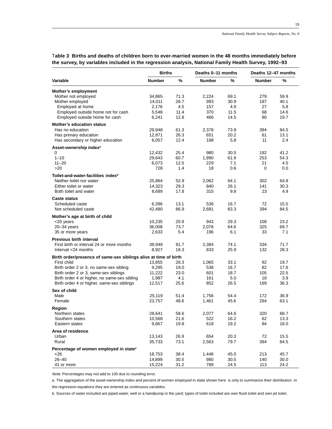|                                                                  | <b>Births</b> |      | Deaths 0-11 months |      | Deaths 12-47 months |      |
|------------------------------------------------------------------|---------------|------|--------------------|------|---------------------|------|
| Variable                                                         | <b>Number</b> | $\%$ | <b>Number</b>      | %    | <b>Number</b>       | %    |
| Mother's employment                                              |               |      |                    |      |                     |      |
| Mother not employed                                              | 34,865        | 71.3 | 2,224              | 69.1 | 279                 | 59.9 |
| Mother employed                                                  | 14,011        | 28.7 | 993                | 30.9 | 187                 | 40.1 |
| Employed at home                                                 | 2,176         | 4.5  | 157                | 4.9  | 27                  | 5.8  |
| Employed outside home not for cash                               | 5,548         | 11.4 | 370                | 11.5 | 68                  | 14.6 |
| Employed outside home for cash                                   | 6,241         | 12.8 | 466                | 14.5 | 90                  | 19.7 |
| <b>Mother's education status</b>                                 |               |      |                    |      |                     |      |
| Has no education                                                 | 29,948        | 61.3 | 2,378              | 73.9 | 394                 | 84.5 |
| Has primary education                                            | 12,871        | 26.3 | 651                | 20.2 | 61                  | 13.1 |
| Has secondary or higher education                                | 6,057         | 12.4 | 188                | 5.8  | 11                  | 2.4  |
| Asset-ownership index <sup>a</sup>                               |               |      |                    |      |                     |      |
| 0                                                                | 12,432        | 25.4 | 980                | 30.5 | 192                 | 41.2 |
| $1 - 10$                                                         | 29,643        | 60.7 | 1,990              | 61.9 | 253                 | 54.3 |
| $11 - 20$                                                        | 6,073         | 12.5 | 229                | 7.1  | 21                  | 4.5  |
| >20                                                              | 728           | 1.4  | 18                 | 0.6  | 0                   | 0.0  |
| Toilet-and-water-facilities index <sup>b</sup>                   |               |      |                    |      |                     |      |
| Neither toilet nor water                                         | 25,864        | 52.9 | 2,062              | 64.1 | 302                 | 64.8 |
| Either toilet or water                                           | 14,323        | 29.3 | 840                | 26.1 | 141                 | 30.3 |
| Both toilet and water                                            | 8,689         | 17.8 | 315                | 9.8  | 23                  | 4.9  |
| <b>Caste status</b>                                              |               |      |                    |      |                     |      |
| Scheduled caste                                                  | 6,396         | 13.1 | 536                | 16.7 | 72                  | 15.5 |
| Not scheduled caste                                              | 42,480        | 86.9 | 2,681              | 83.3 | 394                 | 84.5 |
| Mother's age at birth of child                                   |               |      |                    |      |                     |      |
| <20 years                                                        | 10,235        | 20.9 | 943                | 29.3 | 108                 | 23.2 |
| $20 - 34$ years                                                  | 36,008        | 73.7 | 2,078              | 64.6 | 325                 | 69.7 |
| 35 or more years                                                 | 2,633         | 5.4  | 196                | 6.1  | 33                  | 7.1  |
| Previous birth interval                                          |               |      |                    |      |                     |      |
| First birth or interval 24 or more months                        | 39,949        | 81.7 | 2,384              | 74.1 | 334                 | 71.7 |
| Interval <24 months                                              | 8,927         | 18.3 | 833                | 25.9 | 132                 | 28.3 |
| Birth order/presence of same-sex siblings alive at time of birth |               |      |                    |      |                     |      |
| First child                                                      | 13,855        | 28.3 | 1,065              | 33.1 | 92                  | 19.7 |
| Birth order 2 or 3, no same-sex sibling                          | 9,295         | 19.0 | 538                | 16.7 | 82                  | 17.6 |
| Birth order 2 or 3, same-sex siblings                            | 11,222        | 23.0 | 601                | 18.7 | 105                 | 22.5 |
| Birth order 4 or higher, no same-sex sibling                     | 1,987         | 4.1  | 161                | 5.0  | 18                  | 3.9  |
| Birth order 4 or higher, same-sex siblings                       | 12,517        | 25.6 | 852                | 26.5 | 169                 | 36.3 |
| Sex of child                                                     |               |      |                    |      |                     |      |
| Male                                                             | 25,119        | 51.4 | 1,756              | 54.4 | 172                 | 36.9 |
| Female                                                           | 23,757        | 48.6 | 1,461              | 45.6 | 294                 | 63.1 |
| Region                                                           |               |      |                    |      |                     |      |
| Northern states                                                  | 28,641        | 58.6 | 2,077              | 64.6 | 320                 | 68.7 |
| Southern states                                                  | 10,568        | 21.6 | 522                | 16.2 | 62                  | 13.3 |
| Eastern states                                                   | 9,667         | 19.8 | 618                | 19.2 | 84                  | 18.0 |
| Area of residence                                                |               |      |                    |      |                     |      |
| Urban                                                            | 13,143        | 26.9 | 654                | 20.3 | 72                  | 15.5 |
| Rural                                                            | 35,733        | 73.1 | 2,563              | 79.7 | 394                 | 84.5 |
| Percentage of women employed in state <sup>a</sup>               |               |      |                    |      |                     |      |
| <26                                                              | 18,753        | 38.4 | 1,448              | 45.0 | 213                 | 45.7 |
| $26 - 40$                                                        | 14,899        | 30.5 | 980                | 30.5 | 140                 | 30.0 |
| 41 or more                                                       | 15,224        | 31.2 | 789                | 24.5 | 113                 | 24.2 |

T**able 3 Births and deaths of children born to ever-married women in the 48 months immediately before the survey, by variables included in the regression analysis, National Family Health Survey, 1992–93**

Note: Percentages may not add to 100 due to rounding error.

a. The aggregation of the asset-ownership index and percent of women employed in state shown here is only to summarize their distribution. In the regression equations they are entered as continuous variables.

b. Sources of water included are piped water, well or a handpump in the yard; types of toilet included are own flush toilet and own pit toilet.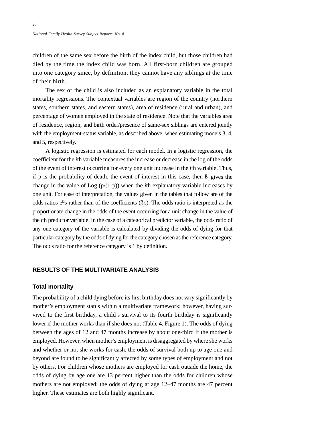children of the same sex before the birth of the index child, but those children had died by the time the index child was born. All first-born children are grouped into one category since, by definition, they cannot have any siblings at the time of their birth.

The sex of the child is also included as an explanatory variable in the total mortality regressions. The contextual variables are region of the country (northern states, southern states, and eastern states), area of residence (rural and urban), and percentage of women employed in the state of residence. Note that the variables area of residence, region, and birth order/presence of same-sex siblings are entered jointly with the employment-status variable, as described above, when estimating models 3, 4, and 5, respectively.

A logistic regression is estimated for each model. In a logistic regression, the coefficient for the *i*th variable measures the increase or decrease in the log of the odds of the event of interest occurring for every one unit increase in the *i*th variable. Thus, if p is the probability of death, the event of interest in this case, then  $\beta$  gives the change in the value of Log (p/(1-p)) when the *i*th explanatory variable increases by one unit. For ease of interpretation, the values given in the tables that follow are of the odds ratios  $e^{i\theta}$ 's rather than of the coefficients ( $\beta$ <sub>i</sub>s). The odds ratio is interpreted as the proportionate change in the odds of the event occurring for a unit change in the value of the *i*th predictor variable. In the case of a categorical predictor variable, the odds ratio of any one category of the variable is calculated by dividing the odds of dying for that particular category by the odds of dying for the category chosen as the reference category. The odds ratio for the reference category is 1 by definition.

## **RESULTS OF THE MULTIVARIATE ANALYSIS**

#### **Total mortality**

The probability of a child dying before its first birthday does not vary significantly by mother's employment status within a multivariate framework; however, having survived to the first birthday, a child's survival to its fourth birthday is significantly lower if the mother works than if she does not (Table 4, Figure 1). The odds of dying between the ages of 12 and 47 months increase by about one-third if the mother is employed. However, when mother's employment is disaggregated by where she works and whether or not she works for cash, the odds of survival both up to age one and beyond are found to be significantly affected by some types of employment and not by others. For children whose mothers are employed for cash outside the home, the odds of dying by age one are 13 percent higher than the odds for children whose mothers are not employed; the odds of dying at age 12–47 months are 47 percent higher. These estimates are both highly significant.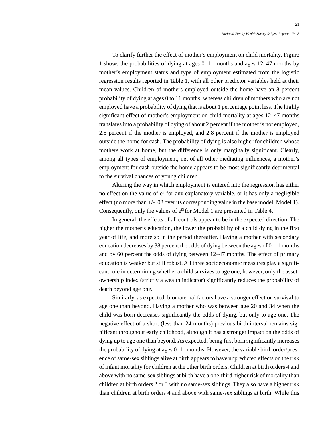To clarify further the effect of mother's employment on child mortality, Figure 1 shows the probabilities of dying at ages 0–11 months and ages 12–47 months by mother's employment status and type of employment estimated from the logistic regression results reported in Table 1, with all other predictor variables held at their mean values. Children of mothers employed outside the home have an 8 percent probability of dying at ages 0 to 11 months, whereas children of mothers who are not employed have a probability of dying that is about 1 percentage point less. The highly significant effect of mother's employment on child mortality at ages 12–47 months translates into a probability of dying of about 2 percent if the mother is not employed, 2.5 percent if the mother is employed, and 2.8 percent if the mother is employed outside the home for cash. The probability of dying is also higher for children whose mothers work at home, but the difference is only marginally significant. Clearly, among all types of employment, net of all other mediating influences, a mother's employment for cash outside the home appears to be most significantly detrimental to the survival chances of young children.

Altering the way in which employment is entered into the regression has either no effect on the value of  $e^{i\phi}$  for any explanatory variable, or it has only a negligible effect (no more than +/- .03 over its corresponding value in the base model, Model 1). Consequently, only the values of  $e^{i\theta}$  for Model 1 are presented in Table 4.

In general, the effects of all controls appear to be in the expected direction. The higher the mother's education, the lower the probability of a child dying in the first year of life, and more so in the period thereafter. Having a mother with secondary education decreases by 38 percent the odds of dying between the ages of 0–11 months and by 60 percent the odds of dying between 12–47 months. The effect of primary education is weaker but still robust. All three socioeconomic measures play a significant role in determining whether a child survives to age one; however, only the assetownership index (strictly a wealth indicator) significantly reduces the probability of death beyond age one.

Similarly, as expected, biomaternal factors have a stronger effect on survival to age one than beyond. Having a mother who was between age 20 and 34 when the child was born decreases significantly the odds of dying, but only to age one. The negative effect of a short (less than 24 months) previous birth interval remains significant throughout early childhood, although it has a stronger impact on the odds of dying up to age one than beyond. As expected, being first born significantly increases the probability of dying at ages 0–11 months. However, the variable birth order/presence of same-sex siblings alive at birth appears to have unpredicted effects on the risk of infant mortality for children at the other birth orders. Children at birth orders 4 and above with no same-sex siblings at birth have a one-third higher risk of mortality than children at birth orders 2 or 3 with no same-sex siblings. They also have a higher risk than children at birth orders 4 and above with same-sex siblings at birth. While this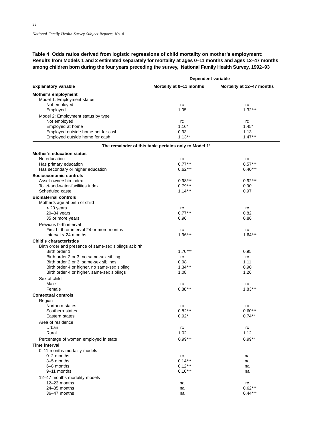**Table 4 Odds ratios derived from logistic regressions of child mortality on mother's employment: Results from Models 1 and 2 estimated separately for mortality at ages 0–11 months and ages 12–47 months among children born during the four years preceding the survey, National Family Health Survey, 1992–93**

|                                                                                          | Dependent variable                                                |                           |  |  |
|------------------------------------------------------------------------------------------|-------------------------------------------------------------------|---------------------------|--|--|
| <b>Explanatory variable</b>                                                              | Mortality at 0-11 months                                          | Mortality at 12-47 months |  |  |
| Mother's employment                                                                      |                                                                   |                           |  |  |
| Model 1: Employment status                                                               |                                                                   |                           |  |  |
| Not employed                                                                             | rc                                                                | rc                        |  |  |
| Employed                                                                                 | 1.05                                                              | $1.32***$                 |  |  |
| Model 2: Employment status by type                                                       |                                                                   |                           |  |  |
| Not employed                                                                             | rc                                                                | rc                        |  |  |
| Employed at home                                                                         | $1.16*$                                                           | $1.45*$                   |  |  |
| Employed outside home not for cash                                                       | 0.93                                                              | 1.13                      |  |  |
| Employed outside home for cash                                                           | $1.13**$                                                          | $1.47***$                 |  |  |
|                                                                                          | The remainder of this table pertains only to Model 1 <sup>a</sup> |                           |  |  |
| <b>Mother's education status</b>                                                         |                                                                   |                           |  |  |
| No education                                                                             | rc                                                                | rc                        |  |  |
| Has primary education                                                                    | $0.77***$                                                         | $0.57***$                 |  |  |
| Has secondary or higher education                                                        | $0.62***$                                                         | $0.40***$                 |  |  |
| Socioeconomic controls                                                                   |                                                                   |                           |  |  |
| Asset-ownership index                                                                    | $0.98***$                                                         | $0.92***$                 |  |  |
| Toilet-and-water-facilities index                                                        | $0.79***$                                                         | 0.90                      |  |  |
| Scheduled caste                                                                          | $1.14***$                                                         | 0.97                      |  |  |
| <b>Biomaternal controls</b><br>Mother's age at birth of child                            |                                                                   |                           |  |  |
| < 20 years                                                                               | rc                                                                | rc                        |  |  |
| $20 - 34$ years                                                                          | $0.77***$                                                         | 0.82                      |  |  |
| 35 or more years                                                                         | 0.96                                                              | 0.86                      |  |  |
| Previous birth interval                                                                  |                                                                   |                           |  |  |
| First birth or interval 24 or more months                                                | rc                                                                | rc                        |  |  |
| Interval $<$ 24 months                                                                   | $1.96***$                                                         | $1.64***$                 |  |  |
|                                                                                          |                                                                   |                           |  |  |
| <b>Child's characteristics</b><br>Birth order and presence of same-sex siblings at birth |                                                                   |                           |  |  |
| Birth order 1                                                                            | $1.70***$                                                         | 0.95                      |  |  |
| Birth order 2 or 3, no same-sex sibling                                                  | rc                                                                | rc                        |  |  |
| Birth order 2 or 3, same-sex siblings                                                    | 0.98                                                              | 1.11                      |  |  |
| Birth order 4 or higher, no same-sex sibling                                             | $1.34***$                                                         | 0.90                      |  |  |
| Birth order 4 or higher, same-sex siblings                                               | 1.08                                                              | 1.26                      |  |  |
|                                                                                          |                                                                   |                           |  |  |
| Sex of child<br>Male                                                                     | rc                                                                | rc                        |  |  |
| Female                                                                                   | $0.88***$                                                         | $1.83***$                 |  |  |
| <b>Contextual controls</b>                                                               |                                                                   |                           |  |  |
| Region                                                                                   |                                                                   |                           |  |  |
| Northern states                                                                          | rc                                                                | rc                        |  |  |
| Southern states                                                                          | $0.82***$                                                         | $0.60***$                 |  |  |
| Eastern states                                                                           | $0.92*$                                                           | $0.74***$                 |  |  |
| Area of residence                                                                        |                                                                   |                           |  |  |
| Urban                                                                                    | rc                                                                | rc                        |  |  |
| Rural                                                                                    | 1.02                                                              | 1.12                      |  |  |
| Percentage of women employed in state                                                    | $0.99***$                                                         | $0.99**$                  |  |  |
| Time interval                                                                            |                                                                   |                           |  |  |
| 0-11 months mortality models                                                             |                                                                   |                           |  |  |
| 0-2 months                                                                               | rc                                                                | na                        |  |  |
| 3-5 months                                                                               | $0.14***$                                                         | na                        |  |  |
| 6-8 months                                                                               | $0.12***$                                                         | na                        |  |  |
| 9-11 months                                                                              | $0.10***$                                                         | na                        |  |  |
| 12-47 months mortality models                                                            |                                                                   |                           |  |  |
| 12-23 months                                                                             | na                                                                |                           |  |  |
| 24-35 months                                                                             |                                                                   | rc<br>$0.62***$           |  |  |
| 36-47 months                                                                             | na                                                                | $0.44***$                 |  |  |
|                                                                                          | na                                                                |                           |  |  |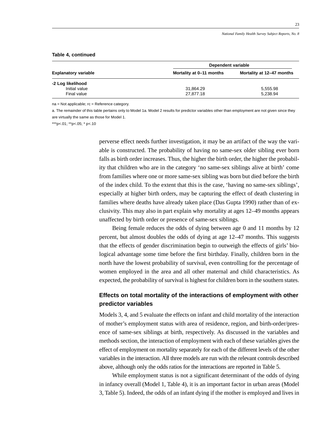|  | Table 4, continued |
|--|--------------------|
|  |                    |

| <b>Explanatory variable</b> | Dependent variable       |                           |  |
|-----------------------------|--------------------------|---------------------------|--|
|                             | Mortality at 0-11 months | Mortality at 12-47 months |  |
| -2 Log likelihood           |                          |                           |  |
| Initial value               | 31,864.29                | 5,555.98                  |  |
| Final value                 | 27.877.18                | 5,238.94                  |  |

na = Not applicable; rc = Reference category.

a. The remainder of this table pertains only to Model 1a. Model 2 results for predictor variables other than employment are not given since they are virtually the same as those for Model 1.

\*\*\*p<.01; \*\*p<.05; \* p<.10

perverse effect needs further investigation, it may be an artifact of the way the variable is constructed. The probability of having no same-sex older sibling ever born falls as birth order increases. Thus, the higher the birth order, the higher the probability that children who are in the category 'no same-sex siblings alive at birth' come from families where one or more same-sex sibling was born but died before the birth of the index child. To the extent that this is the case, 'having no same-sex siblings', especially at higher birth orders, may be capturing the effect of death clustering in families where deaths have already taken place (Das Gupta 1990) rather than of exclusivity. This may also in part explain why mortality at ages 12–49 months appears unaffected by birth order or presence of same-sex siblings.

Being female reduces the odds of dying between age 0 and 11 months by 12 percent, but almost doubles the odds of dying at age 12–47 months. This suggests that the effects of gender discrimination begin to outweigh the effects of girls' biological advantage some time before the first birthday. Finally, children born in the north have the lowest probability of survival, even controlling for the percentage of women employed in the area and all other maternal and child characteristics. As expected, the probability of survival is highest for children born in the southern states.

## **Effects on total mortality of the interactions of employment with other predictor variables**

Models 3, 4, and 5 evaluate the effects on infant and child mortality of the interaction of mother's employment status with area of residence, region, and birth-order/presence of same-sex siblings at birth, respectively. As discussed in the variables and methods section, the interaction of employment with each of these variables gives the effect of employment on mortality separately for each of the different levels of the other variables in the interaction. All three models are run with the relevant controls described above, although only the odds ratios for the interactions are reported in Table 5.

While employment status is not a significant determinant of the odds of dying in infancy overall (Model 1, Table 4), it is an important factor in urban areas (Model 3, Table 5). Indeed, the odds of an infant dying if the mother is employed and lives in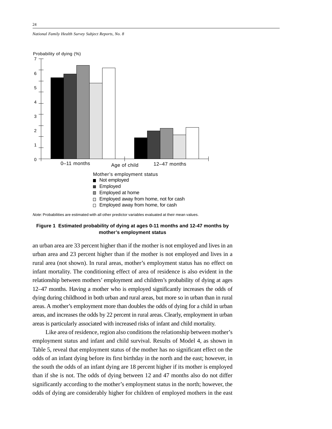*National Family Health Survey Subject Reports, No. 8*



Note: Probabilities are estimated with all other predictor variables evaluated at their mean values.

## **Figure 1 Estimated probability of dying at ages 0-11 months and 12-47 months by mother's employment status**

an urban area are 33 percent higher than if the mother is not employed and lives in an urban area and 23 percent higher than if the mother is not employed and lives in a rural area (not shown). In rural areas, mother's employment status has no effect on infant mortality. The conditioning effect of area of residence is also evident in the relationship between mothers' employment and children's probability of dying at ages 12–47 months. Having a mother who is employed significantly increases the odds of dying during childhood in both urban and rural areas, but more so in urban than in rural areas. A mother's employment more than doubles the odds of dying for a child in urban areas, and increases the odds by 22 percent in rural areas. Clearly, employment in urban areas is particularly associated with increased risks of infant and child mortality.

Like area of residence, region also conditions the relationship between mother's employment status and infant and child survival. Results of Model 4, as shown in Table 5, reveal that employment status of the mother has no significant effect on the odds of an infant dying before its first birthday in the north and the east; however, in the south the odds of an infant dying are 18 percent higher if its mother is employed than if she is not. The odds of dying between 12 and 47 months also do not differ significantly according to the mother's employment status in the north; however, the odds of dying are considerably higher for children of employed mothers in the east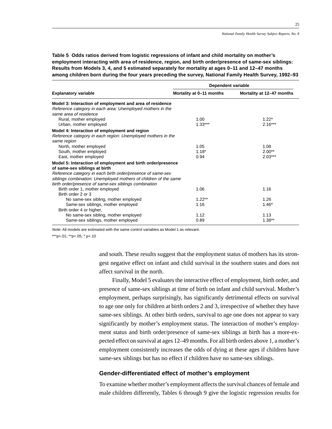**Table 5 Odds ratios derived from logistic regressions of infant and child mortality on mother's employment interacting with area of residence, region, and birth order/presence of same-sex siblings: Results from Models 3, 4, and 5 estimated separately for mortality at ages 0–11 and 12–47 months among children born during the four years preceding the survey, National Family Health Survey, 1992–93**

|                                                                                                                                                                                                                                                                                          | Dependent variable       |                           |  |  |
|------------------------------------------------------------------------------------------------------------------------------------------------------------------------------------------------------------------------------------------------------------------------------------------|--------------------------|---------------------------|--|--|
| <b>Explanatory variable</b>                                                                                                                                                                                                                                                              | Mortality at 0-11 months | Mortality at 12-47 months |  |  |
| Model 3: Interaction of employment and area of residence<br>Reference category in each area: Unemployed mothers in the<br>same area of residence<br>Rural, mother employed                                                                                                               | 1.00                     | $1.22*$                   |  |  |
| Urban, mother employed                                                                                                                                                                                                                                                                   | $1.33***$                | $2.16***$                 |  |  |
| Model 4: Interaction of employment and region<br>Reference category in each region: Unemployed mothers in the                                                                                                                                                                            |                          |                           |  |  |
| same region                                                                                                                                                                                                                                                                              |                          |                           |  |  |
| North, mother employed                                                                                                                                                                                                                                                                   | 1.05                     | 1.08                      |  |  |
| South, mother employed                                                                                                                                                                                                                                                                   | $1.18*$                  | $2.00**$                  |  |  |
| East, mother employed                                                                                                                                                                                                                                                                    | 0.94                     | $2.03***$                 |  |  |
| Model 5: Interaction of employment and birth order/presence<br>of same-sex siblings at birth<br>Reference category in each birth order/presence of same-sex<br>siblings combination: Unemployed mothers of children of the same<br>birth order/presence of same-sex siblings combination |                          |                           |  |  |
| Birth order 1, mother employed<br>Birth order 2 or 3                                                                                                                                                                                                                                     | 1.06                     | 1.16                      |  |  |
| No same-sex sibling, mother employed                                                                                                                                                                                                                                                     | $1.22***$                | 1.26                      |  |  |
| Same-sex siblings, mother employed<br>Birth order 4 or higher,                                                                                                                                                                                                                           | 1.16                     | $1.46*$                   |  |  |
| No same-sex sibling, mother employed                                                                                                                                                                                                                                                     | 1.12                     | 1.13                      |  |  |
| Same-sex siblings, mother employed                                                                                                                                                                                                                                                       | 0.89                     | $1.38**$                  |  |  |

Note: All models are estimated with the same control variables as Model 1 as relevant.

\*\*\*p<.01; \*\*p<.05; \* p<.10

and south. These results suggest that the employment status of mothers has its strongest negative effect on infant and child survival in the southern states and does not affect survival in the north.

Finally, Model 5 evaluates the interactive effect of employment, birth order, and presence of same-sex siblings at time of birth on infant and child survival. Mother's employment, perhaps surprisingly, has significantly detrimental effects on survival to age one only for children at birth orders 2 and 3, irrespective of whether they have same-sex siblings. At other birth orders, survival to age one does not appear to vary significantly by mother's employment status. The interaction of mother's employment status and birth order/presence of same-sex siblings at birth has a more-expected effect on survival at ages 12–49 months. For all birth orders above 1, a mother's employment consistently increases the odds of dying at these ages if children have same-sex siblings but has no effect if children have no same-sex siblings.

### **Gender-differentiated effect of mother's employment**

To examine whether mother's employment affects the survival chances of female and male children differently, Tables 6 through 9 give the logistic regression results for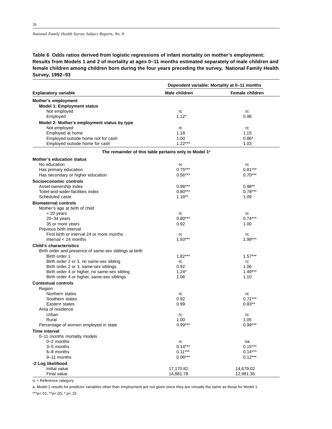## **Table 6 Odds ratios derived from logistic regressions of infant mortality on mother's employment: Results from Models 1 and 2 of mortality at ages 0–11 months estimated separately of male children and female children among children born during the four years preceding the survey, National Family Health Survey, 1992–93**

|                                                                   |               | Dependent variable: Mortality at 0-11 months |
|-------------------------------------------------------------------|---------------|----------------------------------------------|
| <b>Explanatory variable</b>                                       | Male children | <b>Female children</b>                       |
| Mother's employment                                               |               |                                              |
| Model 1: Employment status                                        |               |                                              |
| Not employed                                                      | rc            | rc                                           |
| Employed                                                          | $1.12*$       | 0.98                                         |
| Model 2: Mother's employment status by type                       |               |                                              |
| Not employed                                                      | rc            | rc                                           |
| Employed at home                                                  | 1.18          | 1.15                                         |
| Employed outside home not for cash                                | 1.00          | $0.86*$                                      |
| Employed outside home for cash                                    | $1.22***$     | 1.03                                         |
| The remainder of this table pertains only to Model 1 <sup>a</sup> |               |                                              |
| <b>Mother's education status</b>                                  |               |                                              |
| No education                                                      | rc            | rc                                           |
| Has primary education                                             | $0.75***$     | $0.81***$                                    |
| Has secondary or higher education                                 | $0.56***$     | $0.70***$                                    |
| Socioeconomic controls                                            |               |                                              |
| Asset-ownership index                                             | $0.98***$     | $0.98**$                                     |
| Toilet-and-water-facilities index                                 | $0.80***$     | $0.78***$                                    |
| Scheduled caste                                                   | $1.18**$      | 1.09                                         |
| <b>Biomaternal controls</b>                                       |               |                                              |
| Mother's age at birth of child                                    |               |                                              |
| < 20 years                                                        | rc            | rc                                           |
| $20 - 34$ years                                                   | $0.80***$     | $0.74***$                                    |
| 35 or more years                                                  | 0.92          | 1.00                                         |
| Previous birth interval                                           |               |                                              |
| First birth or interval 24 or more months                         | rc            | rc                                           |
| Interval $<$ 24 months                                            | $1.93***$     | $1.99***$                                    |
| <b>Child's characteristics</b>                                    |               |                                              |
| Birth order and presence of same-sex siblings at birth            |               |                                              |
| Birth order 1                                                     | $1.82***$     | $1.57***$                                    |
| Birth order 2 or 3, no same-sex sibling                           | rc            | rc                                           |
| Birth order 2 or 3, same-sex siblings                             | 0.92          | 1.06                                         |
| Birth order 4 or higher, no same-sex sibling                      | $1.24*$       | $1.49***$                                    |
| Birth order 4 or higher, same-sex siblings                        | 1.06          | 1.10                                         |
| <b>Contextual controls</b>                                        |               |                                              |
| Region                                                            |               |                                              |
| Northern states                                                   | rc            | rc                                           |
| Southern states                                                   | 0.92          | $0.71***$                                    |
| Eastern states                                                    | 0.99          | $0.83**$                                     |
| Area of residence                                                 |               |                                              |
| Urban                                                             | rc            | rc                                           |
| Rural                                                             | 1.00          | 1.05                                         |
| Percentage of women employed in state                             | $0.99***$     | $0.99***$                                    |
| Time interval                                                     |               |                                              |
| 0-11 months mortality models                                      |               |                                              |
| 0-2 months                                                        | rc            | na                                           |
| 3-5 months                                                        | $0.14***$     | $0.15***$                                    |
| 6-8 months                                                        | $0.11***$     | $0.14***$                                    |
| 9-11 months                                                       | $0.08***$     | $0.12***$                                    |
| -2 Log likelihood                                                 |               |                                              |
| Initial value                                                     | 17,170.82     | 14,679.02                                    |
| Final value                                                       | 14,861.78     | 12,981.35                                    |

rc = Reference category

a. Model 2 results for predictor variables other than employment are not given since they are virtually the same as those for Model 1.

\*\*\*p<.01; \*\*p<.05; \* p<.10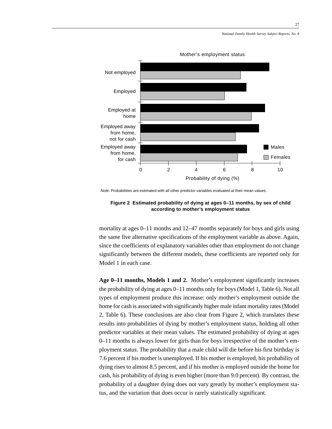

Mother's employment status

Note: Probabilities are estimated with all other predictor variables evaluated at their mean values.

### **Figure 2 Estimated probability of dying at ages 0–11 months, by sex of child according to mother's employment status**

mortality at ages 0–11 months and 12–47 months separately for boys and girls using the same five alternative specifications of the employment variable as above. Again, since the coefficients of explanatory variables other than employment do not change significantly between the different models, these coefficients are reported only for Model 1 in each case.

**Age 0–11 months, Models 1 and 2.** Mother's employment significantly increases the probability of dying at ages 0–11 months only for boys (Model 1, Table 6). Not all types of employment produce this increase: only mother's employment outside the home for cash is associated with significantly higher male infant mortality rates (Model 2, Table 6). These conclusions are also clear from Figure 2, which translates these results into probabilities of dying by mother's employment status, holding all other predictor variables at their mean values. The estimated probability of dying at ages 0–11 months is always lower for girls than for boys irrespective of the mother's employment status. The probability that a male child will die before his first birthday is 7.6 percent if his mother is unemployed. If his mother is employed, his probability of dying rises to almost 8.5 percent, and if his mother is employed outside the home for cash, his probability of dying is even higher (more than 9.0 percent). By contrast, the probability of a daughter dying does not vary greatly by mother's employment status, and the variation that does occur is rarely statistically significant.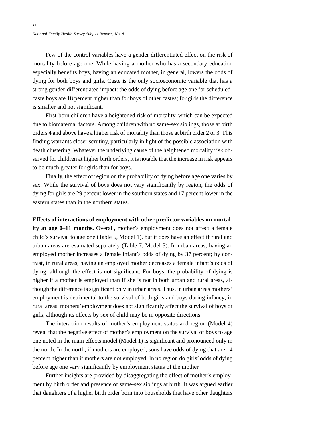Few of the control variables have a gender-differentiated effect on the risk of mortality before age one. While having a mother who has a secondary education especially benefits boys, having an educated mother, in general, lowers the odds of dying for both boys and girls. Caste is the only socioeconomic variable that has a strong gender-differentiated impact: the odds of dying before age one for scheduledcaste boys are 18 percent higher than for boys of other castes; for girls the difference is smaller and not significant.

First-born children have a heightened risk of mortality, which can be expected due to biomaternal factors. Among children with no same-sex siblings, those at birth orders 4 and above have a higher risk of mortality than those at birth order 2 or 3. This finding warrants closer scrutiny, particularly in light of the possible association with death clustering. Whatever the underlying cause of the heightened mortality risk observed for children at higher birth orders, it is notable that the increase in risk appears to be much greater for girls than for boys.

Finally, the effect of region on the probability of dying before age one varies by sex. While the survival of boys does not vary significantly by region, the odds of dying for girls are 29 percent lower in the southern states and 17 percent lower in the eastern states than in the northern states.

#### **Effects of interactions of employment with other predictor variables on mortal-**

**ity at age 0–11 months.** Overall, mother's employment does not affect a female child's survival to age one (Table 6, Model 1), but it does have an effect if rural and urban areas are evaluated separately (Table 7, Model 3). In urban areas, having an employed mother increases a female infant's odds of dying by 37 percent; by contrast, in rural areas, having an employed mother decreases a female infant's odds of dying, although the effect is not significant. For boys, the probability of dying is higher if a mother is employed than if she is not in both urban and rural areas, although the difference is significant only in urban areas. Thus, in urban areas mothers' employment is detrimental to the survival of both girls and boys during infancy; in rural areas, mothers' employment does not significantly affect the survival of boys or girls, although its effects by sex of child may be in opposite directions.

The interaction results of mother's employment status and region (Model 4) reveal that the negative effect of mother's employment on the survival of boys to age one noted in the main effects model (Model 1) is significant and pronounced only in the north. In the north, if mothers are employed, sons have odds of dying that are 14 percent higher than if mothers are not employed. In no region do girls' odds of dying before age one vary significantly by employment status of the mother.

Further insights are provided by disaggregating the effect of mother's employment by birth order and presence of same-sex siblings at birth. It was argued earlier that daughters of a higher birth order born into households that have other daughters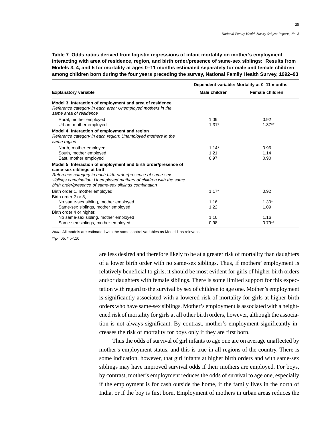**Table 7 Odds ratios derived from logistic regressions of infant mortality on mother's employment interacting with area of residence, region, and birth order/presence of same-sex siblings: Results from Models 3, 4, and 5 for mortality at ages 0–11 months estimated separately for male and female children among children born during the four years preceding the survey, National Family Health Survey, 1992–93**

|                                                                                                                                                                                                                                                                                            | Dependent variable: Mortality at 0-11 months |                        |  |  |
|--------------------------------------------------------------------------------------------------------------------------------------------------------------------------------------------------------------------------------------------------------------------------------------------|----------------------------------------------|------------------------|--|--|
| <b>Explanatory variable</b>                                                                                                                                                                                                                                                                | Male children                                | <b>Female children</b> |  |  |
| Model 3: Interaction of employment and area of residence<br>Reference category in each area: Unemployed mothers in the<br>same area of residence                                                                                                                                           |                                              |                        |  |  |
| Rural, mother employed<br>Urban, mother employed                                                                                                                                                                                                                                           | 1.09<br>$1.31*$                              | 0.92<br>$1.37**$       |  |  |
| Model 4: Interaction of employment and region<br>Reference category in each region: Unemployed mothers in the<br>same region                                                                                                                                                               |                                              |                        |  |  |
| North, mother employed<br>South, mother employed<br>East, mother employed                                                                                                                                                                                                                  | $1.14*$<br>1.21<br>0.97                      | 0.96<br>1.14<br>0.90   |  |  |
| Model 5: Interaction of employment and birth order/presence of<br>same-sex siblings at birth<br>Reference category in each birth order/presence of same-sex<br>siblings combination: Unemployed mothers of children with the same<br>birth order/presence of same-sex siblings combination |                                              |                        |  |  |
| Birth order 1, mother employed<br>Birth order 2 or 3.                                                                                                                                                                                                                                      | $1.17*$                                      | 0.92                   |  |  |
| No same-sex sibling, mother employed<br>Same-sex siblings, mother employed                                                                                                                                                                                                                 | 1.16<br>1.22                                 | $1.30*$<br>1.09        |  |  |
| Birth order 4 or higher,<br>No same-sex sibling, mother employed<br>Same-sex siblings, mother employed                                                                                                                                                                                     | 1.10<br>0.98                                 | 1.16<br>$0.79**$       |  |  |

Note: All models are estimated with the same control variables as Model 1 as relevant.

 $*$ <sub>p</sub> $< 05; * p < 10$ 

are less desired and therefore likely to be at a greater risk of mortality than daughters of a lower birth order with no same-sex siblings. Thus, if mothers' employment is relatively beneficial to girls, it should be most evident for girls of higher birth orders and/or daughters with female siblings. There is some limited support for this expectation with regard to the survival by sex of children to age one. Mother's employment is significantly associated with a lowered risk of mortality for girls at higher birth orders who have same-sex siblings. Mother's employment is associated with a heightened risk of mortality for girls at all other birth orders, however, although the association is not always significant. By contrast, mother's employment significantly increases the risk of mortality for boys only if they are first born.

Thus the odds of survival of girl infants to age one are on average unaffected by mother's employment status, and this is true in all regions of the country. There is some indication, however, that girl infants at higher birth orders and with same-sex siblings may have improved survival odds if their mothers are employed. For boys, by contrast, mother's employment reduces the odds of survival to age one, especially if the employment is for cash outside the home, if the family lives in the north of India, or if the boy is first born. Employment of mothers in urban areas reduces the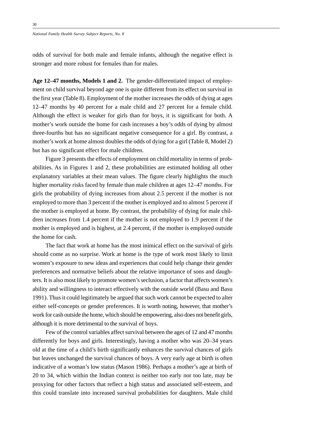*National Family Health Survey Subject Reports, No. 8*

odds of survival for both male and female infants, although the negative effect is stronger and more robust for females than for males.

**Age 12–47 months, Models 1 and 2.** The gender-differentiated impact of employment on child survival beyond age one is quite different from its effect on survival in the first year (Table 8). Employment of the mother increases the odds of dying at ages 12–47 months by 40 percent for a male child and 27 percent for a female child. Although the effect is weaker for girls than for boys, it is significant for both. A mother's work outside the home for cash increases a boy's odds of dying by almost three-fourths but has no significant negative consequence for a girl. By contrast, a mother's work at home almost doubles the odds of dying for a girl (Table 8, Model 2) but has no significant effect for male children.

Figure 3 presents the effects of employment on child mortality in terms of probabilities. As in Figures 1 and 2, these probabilities are estimated holding all other explanatory variables at their mean values. The figure clearly highlights the much higher mortality risks faced by female than male children at ages 12–47 months. For girls the probability of dying increases from about 2.5 percent if the mother is not employed to more than 3 percent if the mother is employed and to almost 5 percent if the mother is employed at home. By contrast, the probability of dying for male children increases from 1.4 percent if the mother is not employed to 1.9 percent if the mother is employed and is highest, at 2.4 percent, if the mother is employed outside the home for cash.

The fact that work at home has the most inimical effect on the survival of girls should come as no surprise. Work at home is the type of work most likely to limit women's exposure to new ideas and experiences that could help change their gender preferences and normative beliefs about the relative importance of sons and daughters. It is also most likely to promote women's seclusion, a factor that affects women's ability and willingness to interact effectively with the outside world (Basu and Basu 1991). Thus it could legitimately be argued that such work cannot be expected to alter either self-concepts or gender preferences. It is worth noting, however, that mother's work for cash outside the home, which should be empowering, also does not benefit girls, although it is more detrimental to the survival of boys.

Few of the control variables affect survival between the ages of 12 and 47 months differently for boys and girls. Interestingly, having a mother who was 20–34 years old at the time of a child's birth significantly enhances the survival chances of girls but leaves unchanged the survival chances of boys. A very early age at birth is often indicative of a woman's low status (Mason 1986). Perhaps a mother's age at birth of 20 to 34, which within the Indian context is neither too early nor too late, may be proxying for other factors that reflect a high status and associated self-esteem, and this could translate into increased survival probabilities for daughters. Male child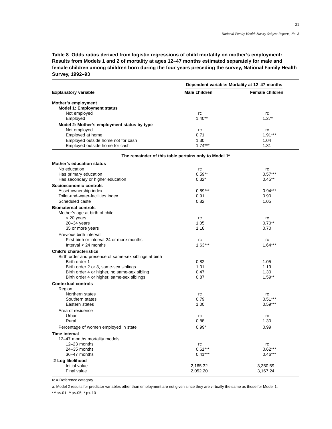**Table 8 Odds ratios derived from logistic regressions of child mortality on mother's employment: Results from Models 1 and 2 of mortality at ages 12–47 months estimated separately for male and female children among children born during the four years preceding the survey, National Family Health Survey, 1992–93**

|                                                        | Dependent variable: Mortality at 12-47 months                     |                        |  |
|--------------------------------------------------------|-------------------------------------------------------------------|------------------------|--|
| <b>Explanatory variable</b>                            | Male children                                                     | <b>Female children</b> |  |
| Mother's employment                                    |                                                                   |                        |  |
| Model 1: Employment status                             |                                                                   |                        |  |
| Not employed                                           | rc                                                                | rc                     |  |
| Employed                                               | $1.40**$                                                          | $1.27*$                |  |
| Model 2: Mother's employment status by type            |                                                                   |                        |  |
| Not employed                                           | rc                                                                | rc                     |  |
| Employed at home                                       | 0.71                                                              | $1.91***$              |  |
| Employed outside home not for cash                     | 1.30                                                              | 1.04                   |  |
| Employed outside home for cash                         | $1.74***$                                                         | 1.31                   |  |
|                                                        |                                                                   |                        |  |
|                                                        | The remainder of this table pertains only to Model 1 <sup>ª</sup> |                        |  |
| <b>Mother's education status</b>                       |                                                                   |                        |  |
| No education                                           | rc                                                                | rc                     |  |
| Has primary education                                  | $0.59**$                                                          | $0.57***$              |  |
| Has secondary or higher education                      | $0.32*$                                                           | $0.45**$               |  |
| Socioeconomic controls                                 |                                                                   |                        |  |
| Asset-ownership index                                  | $0.89***$                                                         | $0.94***$              |  |
| Toilet-and-water-facilities index                      | 0.91                                                              | 0.90                   |  |
| Scheduled caste                                        | 0.82                                                              | 1.05                   |  |
| <b>Biomaternal controls</b>                            |                                                                   |                        |  |
| Mother's age at birth of child                         |                                                                   |                        |  |
| $<$ 20 years                                           | rc                                                                | rc                     |  |
| $20 - 34$ years                                        | 1.05                                                              | $0.70**$               |  |
| 35 or more years                                       | 1.18                                                              | 0.70                   |  |
| Previous birth interval                                |                                                                   |                        |  |
| First birth or interval 24 or more months              | rc                                                                | rc                     |  |
| Interval $<$ 24 months                                 | $1.63***$                                                         | $1.64***$              |  |
| <b>Child's characteristics</b>                         |                                                                   |                        |  |
|                                                        |                                                                   |                        |  |
| Birth order and presence of same-sex siblings at birth |                                                                   |                        |  |
| Birth order 1                                          | 0.82                                                              | 1.05                   |  |
| Birth order 2 or 3, same-sex siblings                  | 1.01                                                              | 1.19                   |  |
| Birth order 4 or higher, no same-sex sibling           | 0.47                                                              | 1.30                   |  |
| Birth order 4 or higher, same-sex siblings             | 0.87                                                              | $1.59**$               |  |
| <b>Contextual controls</b>                             |                                                                   |                        |  |
| Region                                                 |                                                                   |                        |  |
| Northern states                                        | rc                                                                | rc                     |  |
| Southern states                                        | 0.79                                                              | $0.51***$              |  |
| Eastern states                                         | 1.00                                                              | $0.59***$              |  |
| Area of residence                                      |                                                                   |                        |  |
| Urban                                                  | rc                                                                | rc                     |  |
| Rural                                                  | 0.88                                                              | 1.30                   |  |
| Percentage of women employed in state                  | $0.99*$                                                           | 0.99                   |  |
| Time interval                                          |                                                                   |                        |  |
| 12-47 months mortality models                          |                                                                   |                        |  |
| 12-23 months                                           | rc                                                                | rc                     |  |
| 24-35 months                                           | $0.61***$                                                         | $0.62***$              |  |
| 36-47 months                                           | $0.41***$                                                         | $0.46***$              |  |
| -2 Log likelihood                                      |                                                                   |                        |  |
| Initial value                                          | 2,165.32                                                          | 3,350.59               |  |
| Final value                                            | 2,052.20                                                          | 3,167.24               |  |
|                                                        |                                                                   |                        |  |

rc = Reference category

a. Model 2 results for predictor variables other than employment are not given since they are virtually the same as those for Model 1.

\*\*\*p<.01; \*\*p<.05; \* p<.10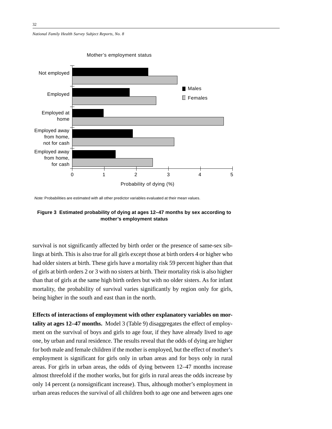*National Family Health Survey Subject Reports, No. 8*



Note: Probabilities are estimated with all other predictor variables evaluated at their mean values.



survival is not significantly affected by birth order or the presence of same-sex siblings at birth. This is also true for all girls except those at birth orders 4 or higher who had older sisters at birth. These girls have a mortality risk 59 percent higher than that of girls at birth orders 2 or 3 with no sisters at birth. Their mortality risk is also higher than that of girls at the same high birth orders but with no older sisters. As for infant mortality, the probability of survival varies significantly by region only for girls, being higher in the south and east than in the north.

**Effects of interactions of employment with other explanatory variables on mortality at ages 12–47 months.** Model 3 (Table 9) disaggregates the effect of employment on the survival of boys and girls to age four, if they have already lived to age one, by urban and rural residence. The results reveal that the odds of dying are higher for both male and female children if the mother is employed, but the effect of mother's employment is significant for girls only in urban areas and for boys only in rural areas. For girls in urban areas, the odds of dying between 12–47 months increase almost threefold if the mother works, but for girls in rural areas the odds increase by only 14 percent (a nonsignificant increase). Thus, although mother's employment in urban areas reduces the survival of all children both to age one and between ages one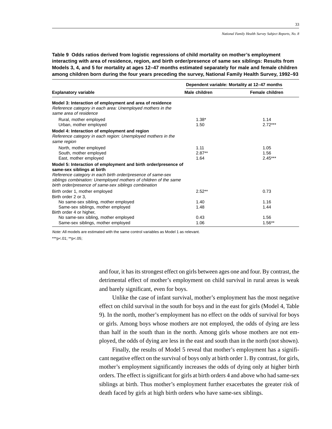**Table 9 Odds ratios derived from logistic regressions of child mortality on mother's employment interacting with area of residence, region, and birth order/presence of same sex siblings: Results from Models 3, 4, and 5 for mortality at ages 12–47 months estimated separately for male and female children among children born during the four years preceding the survey, National Family Health Survey, 1992–93**

|                                                                                                                                                                                                                                                                                          | Dependent variable: Mortality at 12-47 months |                           |  |  |
|------------------------------------------------------------------------------------------------------------------------------------------------------------------------------------------------------------------------------------------------------------------------------------------|-----------------------------------------------|---------------------------|--|--|
| <b>Explanatory variable</b>                                                                                                                                                                                                                                                              | Male children                                 | Female children           |  |  |
| Model 3: Interaction of employment and area of residence<br>Reference category in each area: Unemployed mothers in the<br>same area of residence                                                                                                                                         |                                               |                           |  |  |
| Rural, mother employed<br>Urban, mother employed                                                                                                                                                                                                                                         | $1.38*$<br>1.50                               | 1.14<br>$2.72***$         |  |  |
| Model 4: Interaction of employment and region<br>Reference category in each region: Unemployed mothers in the<br>same region                                                                                                                                                             |                                               |                           |  |  |
| North, mother employed<br>South, mother employed<br>East, mother employed                                                                                                                                                                                                                | 1.11<br>$2.87**$<br>1.64                      | 1.05<br>1.56<br>$2.45***$ |  |  |
| Model 5: Interaction of employment and birth order/presence of<br>same-sex siblings at birth<br>Reference category in each birth order/presence of same-sex<br>siblings combination: Unemployed mothers of children of the same<br>birth order/presence of same-sex siblings combination |                                               |                           |  |  |
| Birth order 1, mother employed<br>Birth order 2 or 3.                                                                                                                                                                                                                                    | $2.52**$                                      | 0.73                      |  |  |
| No same-sex sibling, mother employed<br>Same-sex siblings, mother employed<br>Birth order 4 or higher,                                                                                                                                                                                   | 1.40<br>1.48                                  | 1.16<br>1.44              |  |  |
| No same-sex sibling, mother employed<br>Same-sex siblings, mother employed                                                                                                                                                                                                               | 0.43<br>1.06                                  | 1.56<br>$1.56**$          |  |  |

Note: All models are estimated with the same control variables as Model 1 as relevant.

\*\*\*p<.01; \*\*p<.05;

and four, it has its strongest effect on girls between ages one and four. By contrast, the detrimental effect of mother's employment on child survival in rural areas is weak and barely significant, even for boys.

Unlike the case of infant survival, mother's employment has the most negative effect on child survival in the south for boys and in the east for girls (Model 4, Table 9). In the north, mother's employment has no effect on the odds of survival for boys or girls. Among boys whose mothers are not employed, the odds of dying are less than half in the south than in the north. Among girls whose mothers are not employed, the odds of dying are less in the east and south than in the north (not shown).

Finally, the results of Model 5 reveal that mother's employment has a significant negative effect on the survival of boys only at birth order 1. By contrast, for girls, mother's employment significantly increases the odds of dying only at higher birth orders. The effect is significant for girls at birth orders 4 and above who had same-sex siblings at birth. Thus mother's employment further exacerbates the greater risk of death faced by girls at high birth orders who have same-sex siblings.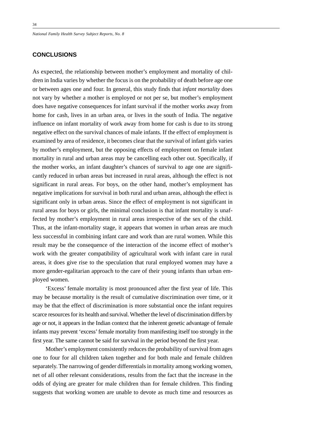*National Family Health Survey Subject Reports, No. 8*

## **CONCLUSIONS**

As expected, the relationship between mother's employment and mortality of children in India varies by whether the focus is on the probability of death before age one or between ages one and four. In general, this study finds that *infant mortality* does not vary by whether a mother is employed or not per se, but mother's employment does have negative consequences for infant survival if the mother works away from home for cash, lives in an urban area, or lives in the south of India. The negative influence on infant mortality of work away from home for cash is due to its strong negative effect on the survival chances of male infants. If the effect of employment is examined by area of residence, it becomes clear that the survival of infant girls varies by mother's employment, but the opposing effects of employment on female infant mortality in rural and urban areas may be cancelling each other out. Specifically, if the mother works, an infant daughter's chances of survival to age one are significantly reduced in urban areas but increased in rural areas, although the effect is not significant in rural areas. For boys, on the other hand, mother's employment has negative implications for survival in both rural and urban areas, although the effect is significant only in urban areas. Since the effect of employment is not significant in rural areas for boys or girls, the minimal conclusion is that infant mortality is unaffected by mother's employment in rural areas irrespective of the sex of the child. Thus, at the infant-mortality stage, it appears that women in urban areas are much less successful in combining infant care and work than are rural women. While this result may be the consequence of the interaction of the income effect of mother's work with the greater compatibility of agricultural work with infant care in rural areas, it does give rise to the speculation that rural employed women may have a more gender-egalitarian approach to the care of their young infants than urban employed women.

'Excess' female mortality is most pronounced after the first year of life. This may be because mortality is the result of cumulative discrimination over time, or it may be that the effect of discrimination is more substantial once the infant requires scarce resources for its health and survival. Whether the level of discrimination differs by age or not, it appears in the Indian context that the inherent genetic advantage of female infants may prevent 'excess' female mortality from manifesting itself too strongly in the first year. The same cannot be said for survival in the period beyond the first year.

Mother's employment consistently reduces the probability of survival from ages one to four for all children taken together and for both male and female children separately. The narrowing of gender differentials in mortality among working women, net of all other relevant considerations, results from the fact that the increase in the odds of dying are greater for male children than for female children. This finding suggests that working women are unable to devote as much time and resources as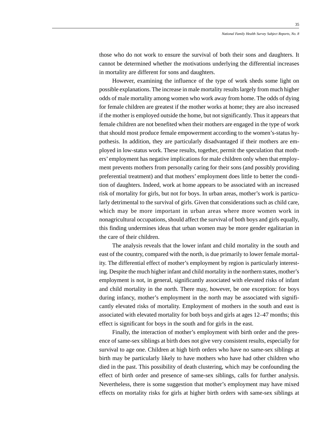those who do not work to ensure the survival of both their sons and daughters. It cannot be determined whether the motivations underlying the differential increases in mortality are different for sons and daughters.

However, examining the influence of the type of work sheds some light on possible explanations. The increase in male mortality results largely from much higher odds of male mortality among women who work away from home. The odds of dying for female children are greatest if the mother works at home; they are also increased if the mother is employed outside the home, but not significantly. Thus it appears that female children are not benefited when their mothers are engaged in the type of work that should most produce female empowerment according to the women's-status hypothesis. In addition, they are particularly disadvantaged if their mothers are employed in low-status work. These results, together, permit the speculation that mothers' employment has negative implications for male children only when that employment prevents mothers from personally caring for their sons (and possibly providing preferential treatment) and that mothers' employment does little to better the condition of daughters. Indeed, work at home appears to be associated with an increased risk of mortality for girls, but not for boys. In urban areas, mother's work is particularly detrimental to the survival of girls. Given that considerations such as child care, which may be more important in urban areas where more women work in nonagricultural occupations, should affect the survival of both boys and girls equally, this finding undermines ideas that urban women may be more gender egalitarian in the care of their children.

The analysis reveals that the lower infant and child mortality in the south and east of the country, compared with the north, is due primarily to lower female mortality. The differential effect of mother's employment by region is particularly interesting. Despite the much higher infant and child mortality in the northern states, mother's employment is not, in general, significantly associated with elevated risks of infant and child mortality in the north. There may, however, be one exception: for boys during infancy, mother's employment in the north may be associated with significantly elevated risks of mortality. Employment of mothers in the south and east is associated with elevated mortality for both boys and girls at ages 12–47 months; this effect is significant for boys in the south and for girls in the east.

Finally, the interaction of mother's employment with birth order and the presence of same-sex siblings at birth does not give very consistent results, especially for survival to age one. Children at high birth orders who have no same-sex siblings at birth may be particularly likely to have mothers who have had other children who died in the past. This possibility of death clustering, which may be confounding the effect of birth order and presence of same-sex siblings, calls for further analysis. Nevertheless, there is some suggestion that mother's employment may have mixed effects on mortality risks for girls at higher birth orders with same-sex siblings at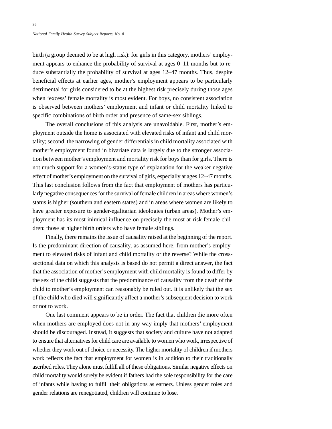birth (a group deemed to be at high risk): for girls in this category, mothers' employment appears to enhance the probability of survival at ages 0–11 months but to reduce substantially the probability of survival at ages 12–47 months. Thus, despite beneficial effects at earlier ages, mother's employment appears to be particularly detrimental for girls considered to be at the highest risk precisely during those ages when 'excess' female mortality is most evident. For boys, no consistent association is observed between mothers' employment and infant or child mortality linked to specific combinations of birth order and presence of same-sex siblings.

The overall conclusions of this analysis are unavoidable. First, mother's employment outside the home is associated with elevated risks of infant and child mortality; second, the narrowing of gender differentials in child mortality associated with mother's employment found in bivariate data is largely due to the stronger association between mother's employment and mortality risk for boys than for girls. There is not much support for a women's-status type of explanation for the weaker negative effect of mother's employment on the survival of girls, especially at ages 12–47 months. This last conclusion follows from the fact that employment of mothers has particularly negative consequences for the survival of female children in areas where women's status is higher (southern and eastern states) and in areas where women are likely to have greater exposure to gender-egalitarian ideologies (urban areas). Mother's employment has its most inimical influence on precisely the most at-risk female children: those at higher birth orders who have female siblings.

Finally, there remains the issue of causality raised at the beginning of the report. Is the predominant direction of causality, as assumed here, from mother's employment to elevated risks of infant and child mortality or the reverse? While the crosssectional data on which this analysis is based do not permit a direct answer, the fact that the association of mother's employment with child mortality is found to differ by the sex of the child suggests that the predominance of causality from the death of the child to mother's employment can reasonably be ruled out. It is unlikely that the sex of the child who died will significantly affect a mother's subsequent decision to work or not to work.

One last comment appears to be in order. The fact that children die more often when mothers are employed does not in any way imply that mothers' employment should be discouraged. Instead, it suggests that society and culture have not adapted to ensure that alternatives for child care are available to women who work, irrespective of whether they work out of choice or necessity. The higher mortality of children if mothers work reflects the fact that employment for women is in addition to their traditionally ascribed roles. They alone must fulfill all of these obligations. Similar negative effects on child mortality would surely be evident if fathers had the sole responsibility for the care of infants while having to fulfill their obligations as earners. Unless gender roles and gender relations are renegotiated, children will continue to lose.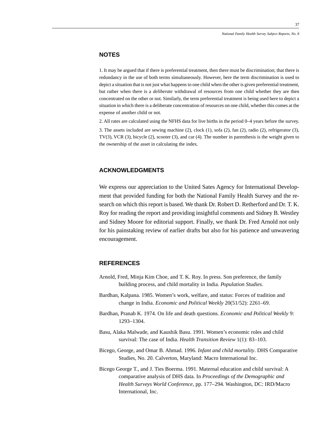## **NOTES**

1. It may be argued that if there is preferential treatment, then there must be discrimination; that there is redundancy in the use of both terms simultaneously. However, here the term discrimination is used to depict a situation that is not just what happens to one child when the other is given preferential treatment, but rather when there is a *deliberate* withdrawal of resources from one child whether they are then concentrated on the other or not. Similarly, the term preferential treatment is being used here to depict a situation in which there is a deliberate concentration of resources on one child, whether this comes at the expense of another child or not.

2. All rates are calculated using the NFHS data for live births in the period 0–4 years before the survey.

3. The assets included are sewing machine (2), clock (1), sofa (2), fan (2), radio (2), refrigerator (3), TV(3), VCR (3), bicycle (2), scooter (3), and car (4). The number in parenthesis is the weight given to the ownership of the asset in calculating the index.

## **ACKNOWLEDGMENTS**

We express our appreciation to the United Sates Agency for International Development that provided funding for both the National Family Health Survey and the research on which this report is based. We thank Dr. Robert D. Retherford and Dr. T. K. Roy for reading the report and providing insightful comments and Sidney B. Westley and Sidney Moore for editorial support. Finally, we thank Dr. Fred Arnold not only for his painstaking review of earlier drafts but also for his patience and unwavering encouragement.

## **REFERENCES**

- Arnold, Fred, Minja Kim Choe, and T. K. Roy. In press. Son preference, the family building process, and child mortality in India. *Population Studies*.
- Bardhan, Kalpana. 1985. Women's work, welfare, and status: Forces of tradition and change in India. *Economic and Political Weekly* 20(51/52): 2261–69.
- Bardhan, Pranab K. 1974. On life and death questions. *Economic and Political Weekly* 9: 1293–1304.
- Basu, Alaka Malwade, and Kaushik Basu. 1991. Women's economic roles and child survival: The case of India. *Health Transition Review* 1(1): 83–103.
- Bicego, George, and Omar B. Ahmad. 1996. *Infant and child mortality*. DHS Comparative Studies, No. 20. Calverton, Maryland: Macro International Inc.
- Bicego George T., and J. Ties Boerma. 1991. Maternal education and child survival: A comparative analysis of DHS data. In *Proceedings of the Demographic and Health Surveys World Conference*, pp. 177–294*.* Washington, DC: IRD/Macro International, Inc.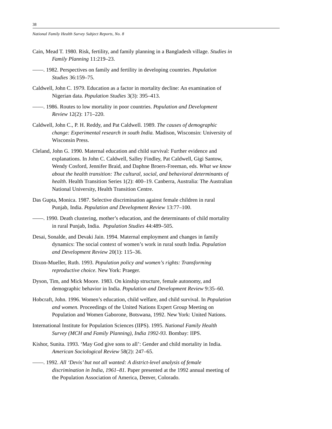*National Family Health Survey Subject Reports, No. 8*

- Cain, Mead T. 1980. Risk, fertility, and family planning in a Bangladesh village. *Studies in Family Planning* 11:219–23.
- ——. 1982. Perspectives on family and fertility in developing countries. *Population Studies* 36:159–75.
- Caldwell, John C. 1979. Education as a factor in mortality decline: An examination of Nigerian data. *Population Studies* 3(3): 395–413.
- ——. 1986. Routes to low mortality in poor countries. *Population and Development Review* 12(2): 171–220.
- Caldwell, John C., P. H. Reddy, and Pat Caldwell. 1989. *The causes of demographic change: Experimental research in south India.* Madison, Wisconsin: University of Wisconsin Press.
- Cleland, John G. 1990. Maternal education and child survival: Further evidence and explanations. In John C. Caldwell, Salley Findley, Pat Caldwell, Gigi Santow, Wendy Cosford, Jennifer Braid, and Daphne Broers-Freeman, eds. *What we know about the health transition: The cultural, social, and behavioral determinants of health*. Health Transition Series 1(2): 400–19. Canberra, Australia: The Australian National University, Health Transition Centre.
- Das Gupta, Monica. 1987. Selective discrimination against female children in rural Punjab, India. *Population and Development Review* 13:77–100.
- ——. 1990. Death clustering, mother's education, and the determinants of child mortality in rural Punjab, India. *Population Studies* 44:489–505.
- Desai, Sonalde, and Devaki Jain. 1994. Maternal employment and changes in family dynamics: The social context of women's work in rural south India. *Population and Development Review* 20(1): 115–36.
- Dixon-Mueller, Ruth. 1993. *Population policy and women's rights: Transforming reproductive choice.* New York: Praeger.
- Dyson, Tim, and Mick Moore. 1983. On kinship structure, female autonomy, and demographic behavior in India. *Population and Development Review* 9:35–60.
- Hobcraft, John. 1996. Women's education, child welfare, and child survival. In *Population and women.* Proceedings of the United Nations Expert Group Meeting on Population and Women Gaborone, Botswana, 1992. New York: United Nations.
- International Institute for Population Sciences (IIPS). 1995. *National Family Health Survey (MCH and Family Planning), India 1992-93.* Bombay: IIPS.
- Kishor, Sunita. 1993. 'May God give sons to all': Gender and child mortality in India. *American Sociological Review* 58(2): 247–65.
- ——. 1992. *All 'Devis' but not all wanted: A district-level analysis of female discrimination in India, 1961–81.* Paper presented at the 1992 annual meeting of the Population Association of America, Denver, Colorado.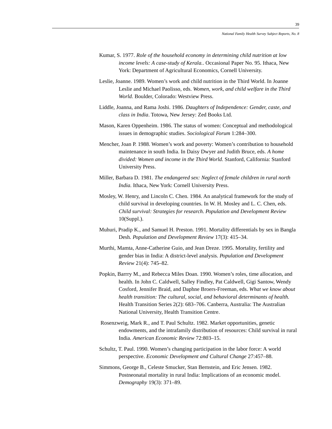- Kumar, S. 1977. *Role of the household economy in determining child nutrition at low income levels: A case-study of Kerala.*. Occasional Paper No. 95. Ithaca, New York: Department of Agricultural Economics, Cornell University.
- Leslie, Joanne. 1989. Women's work and child nutrition in the Third World. In Joanne Leslie and Michael Paolisso, eds. *Women, work, and child welfare in the Third World.* Boulder, Colorado: Westview Press.
- Liddle, Joanna, and Rama Joshi. 1986. *Daughters of Independence: Gender, caste, and class in India*. Totowa, New Jersey: Zed Books Ltd.
- Mason, Karen Oppenheim. 1986. The status of women: Conceptual and methodological issues in demographic studies. *Sociological Forum* 1:284–300.
- Mencher, Joan P. 1988. Women's work and poverty: Women's contribution to household maintenance in south India. In Daisy Dwyer and Judith Bruce, eds. *A home divided: Women and income in the Third World.* Stanford, California: Stanford University Press.
- Miller, Barbara D. 1981. *The endangered sex: Neglect of female children in rural north India.* Ithaca, New York: Cornell University Press.
- Mosley, W. Henry, and Lincoln C. Chen. 1984. An analytical framework for the study of child survival in developing countries. In W. H. Mosley and L. C. Chen, eds. *Child survival: Strategies for research*. *Population and Development Review* 10(Suppl.).
- Muhuri, Pradip K., and Samuel H. Preston. 1991. Mortality differentials by sex in Bangla Desh*. Population and Development Review* 17(3): 415–34.
- Murthi, Mamta, Anne-Catherine Guio, and Jean Dreze. 1995. Mortality, fertility and gender bias in India: A district-level analysis. *Population and Development Review* 21(4): 745–82.
- Popkin, Barrry M., and Rebecca Miles Doan. 1990. Women's roles, time allocation, and health. In John C. Caldwell, Salley Findley, Pat Caldwell, Gigi Santow, Wendy Cosford, Jennifer Braid, and Daphne Broers-Freeman, eds. *What we know about health transition: The cultural, social, and behavioral determinants of health.* Health Transition Series 2(2): 683–706. Canberra, Australia: The Australian National University, Health Transition Centre.
- Rosenzweig, Mark R., and T. Paul Schultz. 1982. Market opportunities, genetic endowments, and the intrafamily distribution of resources: Child survival in rural India. *American Economic Review* 72:803–15.
- Schultz, T. Paul. 1990. Women's changing participation in the labor force: A world perspective. *Economic Development and Cultural Change* 27:457–88.
- Simmons, George B., Celeste Smucker, Stan Bernstein, and Eric Jensen. 1982. Postneonatal mortality in rural India: Implications of an economic model. *Demography* 19(3): 371–89.